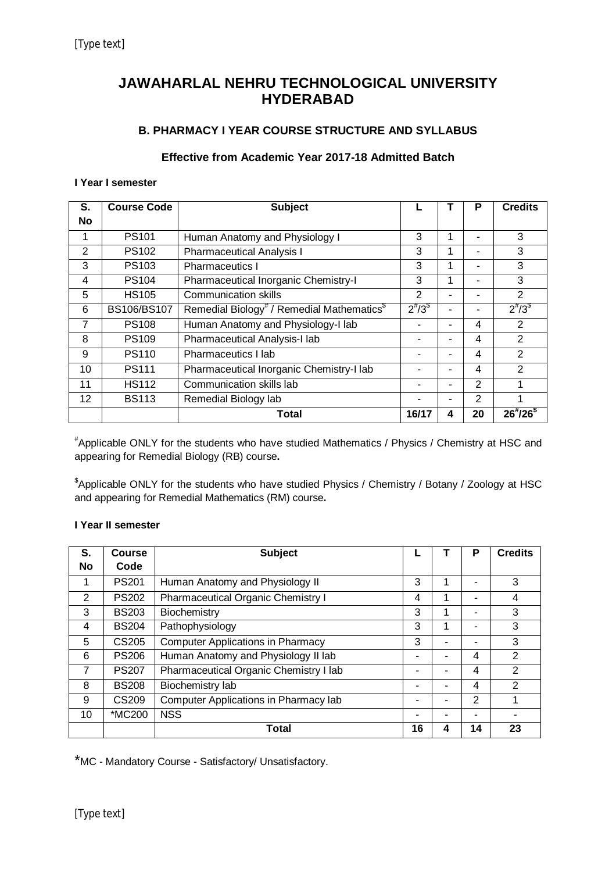## **JAWAHARLAL NEHRU TECHNOLOGICAL UNIVERSITY HYDERABAD**

## **B. PHARMACY I YEAR COURSE STRUCTURE AND SYLLABUS**

## **Effective from Academic Year 2017-18 Admitted Batch**

### **I Year I semester**

| S.             | <b>Course Code</b> | <b>Subject</b>                                                     |               |   | P  | <b>Credits</b>  |
|----------------|--------------------|--------------------------------------------------------------------|---------------|---|----|-----------------|
| <b>No</b>      |                    |                                                                    |               |   |    |                 |
|                | <b>PS101</b>       | Human Anatomy and Physiology I                                     | 3             | 1 |    | 3               |
| $\overline{2}$ | <b>PS102</b>       | <b>Pharmaceutical Analysis I</b>                                   | 3             | 1 |    | 3               |
| 3              | PS103              | <b>Pharmaceutics I</b>                                             | 3             | 1 |    | 3               |
| 4              | <b>PS104</b>       | Pharmaceutical Inorganic Chemistry-I                               | 3             | 1 |    | 3               |
| 5              | <b>HS105</b>       | <b>Communication skills</b>                                        | 2             |   |    | 2               |
| 6              | BS106/BS107        | Remedial Biology <sup>#</sup> / Remedial Mathematics <sup>\$</sup> | $2^{n}/3^{s}$ |   |    | $2^{t}/3^{s}$   |
| 7              | <b>PS108</b>       | Human Anatomy and Physiology-I lab                                 |               |   | 4  | 2               |
| 8              | <b>PS109</b>       | Pharmaceutical Analysis-I lab                                      |               |   | 4  | 2               |
| 9              | <b>PS110</b>       | Pharmaceutics I lab                                                |               |   | 4  | 2               |
| 10             | <b>PS111</b>       | Pharmaceutical Inorganic Chemistry-I lab                           |               |   | 4  | 2               |
| 11             | <b>HS112</b>       | Communication skills lab                                           |               |   | 2  |                 |
| 12             | <b>BS113</b>       | Remedial Biology lab                                               |               |   | 2  |                 |
|                |                    | Total                                                              | 16/17         | 4 | 20 | $26^{*}/26^{*}$ |

#Applicable ONLY for the students who have studied Mathematics / Physics / Chemistry at HSC and appearing for Remedial Biology (RB) course**.**

\$Applicable ONLY for the students who have studied Physics / Chemistry / Botany / Zoology at HSC and appearing for Remedial Mathematics (RM) course**.**

## **I Year II semester**

| S.        | <b>Course</b>     | <b>Subject</b>                           |    |   | P  | <b>Credits</b> |
|-----------|-------------------|------------------------------------------|----|---|----|----------------|
| <b>No</b> | Code              |                                          |    |   |    |                |
| 1         | <b>PS201</b>      | Human Anatomy and Physiology II          | 3  | 1 | -  | 3              |
| 2         | <b>PS202</b>      | Pharmaceutical Organic Chemistry I       | 4  | 1 | ۰  | 4              |
| 3         | <b>BS203</b>      | Biochemistry                             | 3  |   |    | 3              |
| 4         | <b>BS204</b>      | Pathophysiology                          | 3  | 1 | -  | 3              |
| 5         | CS205             | <b>Computer Applications in Pharmacy</b> | 3  |   | -  | 3              |
| 6         | <b>PS206</b>      | Human Anatomy and Physiology II lab      |    |   | 4  | 2              |
| 7         | <b>PS207</b>      | Pharmaceutical Organic Chemistry I lab   |    |   | 4  | $\mathcal{P}$  |
| 8         | <b>BS208</b>      | Biochemistry lab                         |    |   | 4  | 2              |
| 9         | CS <sub>209</sub> | Computer Applications in Pharmacy lab    |    |   | 2  |                |
| 10        | *MC200            | <b>NSS</b>                               |    |   | ۰  |                |
|           |                   | <b>Total</b>                             | 16 | 4 | 14 | 23             |

\*MC - Mandatory Course - Satisfactory/ Unsatisfactory.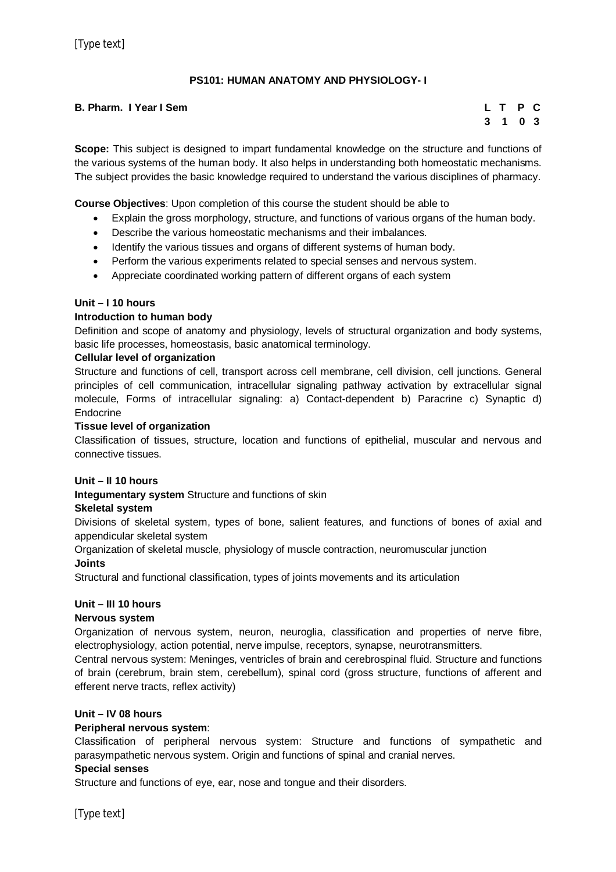## **PS101: HUMAN ANATOMY AND PHYSIOLOGY- I**

## **B. Pharm. I Year I Sem L T P C**

# **3 1 0 3**

**Scope:** This subject is designed to impart fundamental knowledge on the structure and functions of the various systems of the human body. It also helps in understanding both homeostatic mechanisms. The subject provides the basic knowledge required to understand the various disciplines of pharmacy.

**Course Objectives**: Upon completion of this course the student should be able to

- Explain the gross morphology, structure, and functions of various organs of the human body.
- Describe the various homeostatic mechanisms and their imbalances.
- Identify the various tissues and organs of different systems of human body.
- Perform the various experiments related to special senses and nervous system.
- Appreciate coordinated working pattern of different organs of each system

#### **Unit – I 10 hours**

#### **Introduction to human body**

Definition and scope of anatomy and physiology, levels of structural organization and body systems, basic life processes, homeostasis, basic anatomical terminology.

#### **Cellular level of organization**

Structure and functions of cell, transport across cell membrane, cell division, cell junctions. General principles of cell communication, intracellular signaling pathway activation by extracellular signal molecule, Forms of intracellular signaling: a) Contact-dependent b) Paracrine c) Synaptic d) Endocrine

#### **Tissue level of organization**

Classification of tissues, structure, location and functions of epithelial, muscular and nervous and connective tissues.

#### **Unit – II 10 hours**

**Integumentary system** Structure and functions of skin

#### **Skeletal system**

Divisions of skeletal system, types of bone, salient features, and functions of bones of axial and appendicular skeletal system

Organization of skeletal muscle, physiology of muscle contraction, neuromuscular junction **Joints**

Structural and functional classification, types of joints movements and its articulation

## **Unit – III 10 hours**

#### **Nervous system**

Organization of nervous system, neuron, neuroglia, classification and properties of nerve fibre, electrophysiology, action potential, nerve impulse, receptors, synapse, neurotransmitters.

Central nervous system: Meninges, ventricles of brain and cerebrospinal fluid. Structure and functions of brain (cerebrum, brain stem, cerebellum), spinal cord (gross structure, functions of afferent and efferent nerve tracts, reflex activity)

#### **Unit – IV 08 hours**

#### **Peripheral nervous system**:

Classification of peripheral nervous system: Structure and functions of sympathetic and parasympathetic nervous system. Origin and functions of spinal and cranial nerves.

#### **Special senses**

Structure and functions of eye, ear, nose and tongue and their disorders.

[Type text]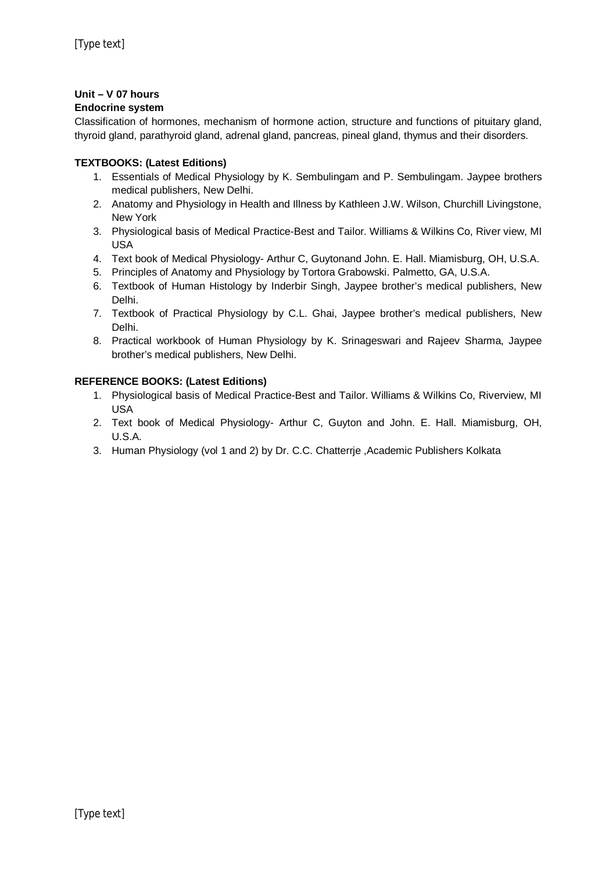## **Unit – V 07 hours**

## **Endocrine system**

Classification of hormones, mechanism of hormone action, structure and functions of pituitary gland, thyroid gland, parathyroid gland, adrenal gland, pancreas, pineal gland, thymus and their disorders.

## **TEXTBOOKS: (Latest Editions)**

- 1. Essentials of Medical Physiology by K. Sembulingam and P. Sembulingam. Jaypee brothers medical publishers, New Delhi.
- 2. Anatomy and Physiology in Health and Illness by Kathleen J.W. Wilson, Churchill Livingstone, New York
- 3. Physiological basis of Medical Practice-Best and Tailor. Williams & Wilkins Co, River view, MI USA
- 4. Text book of Medical Physiology- Arthur C, Guytonand John. E. Hall. Miamisburg, OH, U.S.A.
- 5. Principles of Anatomy and Physiology by Tortora Grabowski. Palmetto, GA, U.S.A.
- 6. Textbook of Human Histology by Inderbir Singh, Jaypee brother's medical publishers, New Delhi.
- 7. Textbook of Practical Physiology by C.L. Ghai, Jaypee brother's medical publishers, New Delhi.
- 8. Practical workbook of Human Physiology by K. Srinageswari and Rajeev Sharma, Jaypee brother's medical publishers, New Delhi.

## **REFERENCE BOOKS: (Latest Editions)**

- 1. Physiological basis of Medical Practice-Best and Tailor. Williams & Wilkins Co, Riverview, MI USA
- 2. Text book of Medical Physiology- Arthur C, Guyton and John. E. Hall. Miamisburg, OH, U.S.A.
- 3. Human Physiology (vol 1 and 2) by Dr. C.C. Chatterrje ,Academic Publishers Kolkata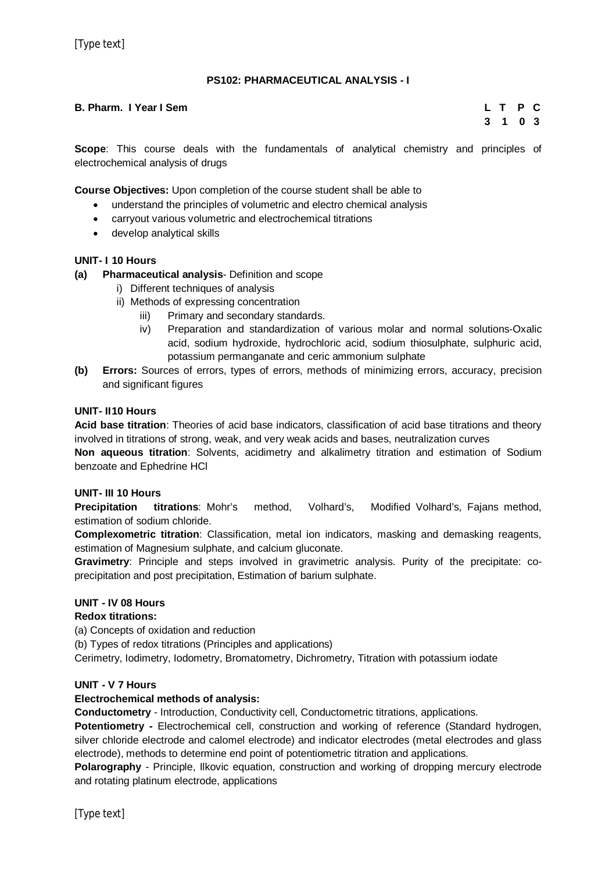## **PS102: PHARMACEUTICAL ANALYSIS - I**

## **B. Pharm. I Year I Sem L T P C**

# **3 1 0 3**

**Scope**: This course deals with the fundamentals of analytical chemistry and principles of electrochemical analysis of drugs

**Course Objectives:** Upon completion of the course student shall be able to

- understand the principles of volumetric and electro chemical analysis
- carryout various volumetric and electrochemical titrations
- develop analytical skills

#### **UNIT- I 10 Hours**

**(a) Pharmaceutical analysis**- Definition and scope

- i) Different techniques of analysis
- ii) Methods of expressing concentration
	- iii) Primary and secondary standards.
	- iv) Preparation and standardization of various molar and normal solutions-Oxalic acid, sodium hydroxide, hydrochloric acid, sodium thiosulphate, sulphuric acid, potassium permanganate and ceric ammonium sulphate
- **(b) Errors:** Sources of errors, types of errors, methods of minimizing errors, accuracy, precision and significant figures

#### **UNIT- II10 Hours**

**Acid base titration**: Theories of acid base indicators, classification of acid base titrations and theory involved in titrations of strong, weak, and very weak acids and bases, neutralization curves

**Non aqueous titration**: Solvents, acidimetry and alkalimetry titration and estimation of Sodium benzoate and Ephedrine HCl

#### **UNIT- III 10 Hours**

**Precipitation titrations**: Mohr's method, Volhard's, Modified Volhard's, Fajans method, estimation of sodium chloride.

**Complexometric titration**: Classification, metal ion indicators, masking and demasking reagents, estimation of Magnesium sulphate, and calcium gluconate.

**Gravimetry**: Principle and steps involved in gravimetric analysis. Purity of the precipitate: coprecipitation and post precipitation, Estimation of barium sulphate.

#### **UNIT - IV 08 Hours**

#### **Redox titrations:**

(a) Concepts of oxidation and reduction

(b) Types of redox titrations (Principles and applications)

Cerimetry, Iodimetry, Iodometry, Bromatometry, Dichrometry, Titration with potassium iodate

#### **UNIT - V 7 Hours**

#### **Electrochemical methods of analysis:**

**Conductometry** - Introduction, Conductivity cell, Conductometric titrations, applications.

**Potentiometry -** Electrochemical cell, construction and working of reference (Standard hydrogen, silver chloride electrode and calomel electrode) and indicator electrodes (metal electrodes and glass electrode), methods to determine end point of potentiometric titration and applications.

**Polarography** - Principle, Ilkovic equation, construction and working of dropping mercury electrode and rotating platinum electrode, applications

[Type text]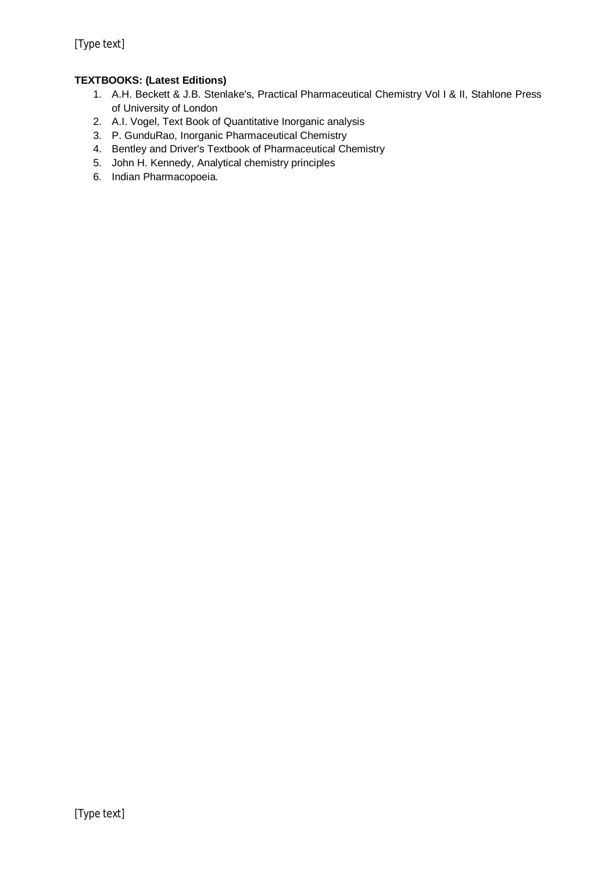## **TEXTBOOKS: (Latest Editions)**

- 1. A.H. Beckett & J.B. Stenlake's, Practical Pharmaceutical Chemistry Vol I & II, Stahlone Press of University of London
- 2. A.I. Vogel, Text Book of Quantitative Inorganic analysis
- 3. P. GunduRao, Inorganic Pharmaceutical Chemistry
- 4. Bentley and Driver's Textbook of Pharmaceutical Chemistry
- 5. John H. Kennedy, Analytical chemistry principles
- 6. Indian Pharmacopoeia.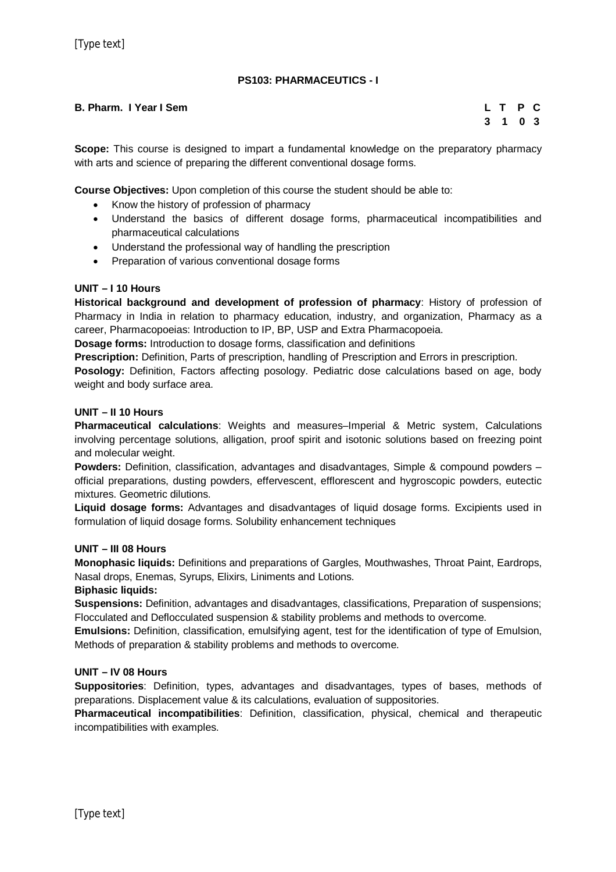## **PS103: PHARMACEUTICS - I**

#### **B. Pharm. I Year I Sem L T P C**

## **3 1 0 3**

**Scope:** This course is designed to impart a fundamental knowledge on the preparatory pharmacy with arts and science of preparing the different conventional dosage forms.

**Course Objectives:** Upon completion of this course the student should be able to:

- Know the history of profession of pharmacy
- Understand the basics of different dosage forms, pharmaceutical incompatibilities and pharmaceutical calculations
- Understand the professional way of handling the prescription
- Preparation of various conventional dosage forms

### **UNIT – I 10 Hours**

**Historical background and development of profession of pharmacy**: History of profession of Pharmacy in India in relation to pharmacy education, industry, and organization, Pharmacy as a career, Pharmacopoeias: Introduction to IP, BP, USP and Extra Pharmacopoeia.

**Dosage forms:** Introduction to dosage forms, classification and definitions

**Prescription:** Definition, Parts of prescription, handling of Prescription and Errors in prescription.

**Posology:** Definition, Factors affecting posology. Pediatric dose calculations based on age, body weight and body surface area.

#### **UNIT – II 10 Hours**

**Pharmaceutical calculations**: Weights and measures–Imperial & Metric system, Calculations involving percentage solutions, alligation, proof spirit and isotonic solutions based on freezing point and molecular weight.

**Powders:** Definition, classification, advantages and disadvantages, Simple & compound powders – official preparations, dusting powders, effervescent, efflorescent and hygroscopic powders, eutectic mixtures. Geometric dilutions.

**Liquid dosage forms:** Advantages and disadvantages of liquid dosage forms. Excipients used in formulation of liquid dosage forms. Solubility enhancement techniques

#### **UNIT – III 08 Hours**

**Monophasic liquids:** Definitions and preparations of Gargles, Mouthwashes, Throat Paint, Eardrops, Nasal drops, Enemas, Syrups, Elixirs, Liniments and Lotions.

#### **Biphasic liquids:**

**Suspensions:** Definition, advantages and disadvantages, classifications, Preparation of suspensions; Flocculated and Deflocculated suspension & stability problems and methods to overcome.

**Emulsions:** Definition, classification, emulsifying agent, test for the identification of type of Emulsion, Methods of preparation & stability problems and methods to overcome.

#### **UNIT – IV 08 Hours**

**Suppositories**: Definition, types, advantages and disadvantages, types of bases, methods of preparations. Displacement value & its calculations, evaluation of suppositories.

**Pharmaceutical incompatibilities**: Definition, classification, physical, chemical and therapeutic incompatibilities with examples.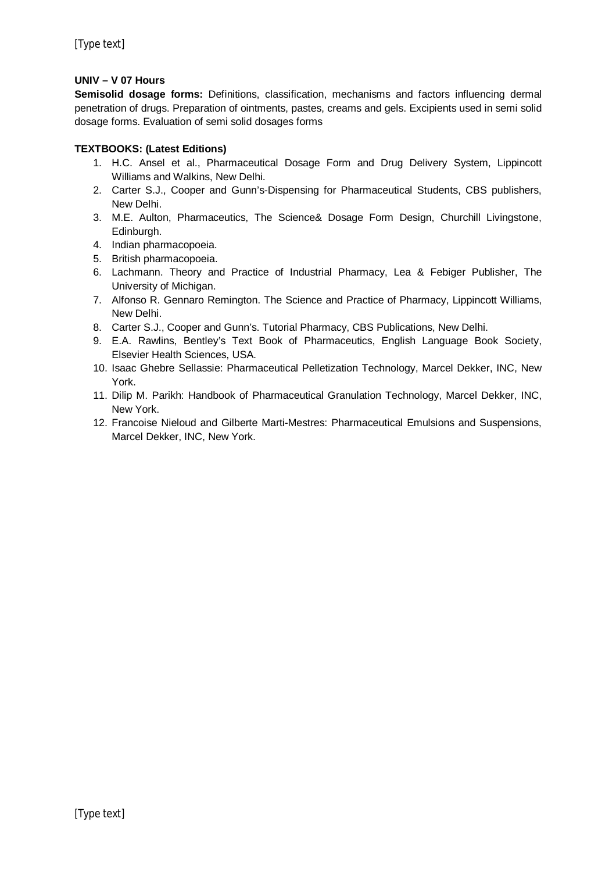## **UNIV – V 07 Hours**

**Semisolid dosage forms:** Definitions, classification, mechanisms and factors influencing dermal penetration of drugs. Preparation of ointments, pastes, creams and gels. Excipients used in semi solid dosage forms. Evaluation of semi solid dosages forms

## **TEXTBOOKS: (Latest Editions)**

- 1. H.C. Ansel et al., Pharmaceutical Dosage Form and Drug Delivery System, Lippincott Williams and Walkins, New Delhi.
- 2. Carter S.J., Cooper and Gunn's-Dispensing for Pharmaceutical Students, CBS publishers, New Delhi.
- 3. M.E. Aulton, Pharmaceutics, The Science& Dosage Form Design, Churchill Livingstone, Edinburgh.
- 4. Indian pharmacopoeia.
- 5. British pharmacopoeia.
- 6. Lachmann. Theory and Practice of Industrial Pharmacy, Lea & Febiger Publisher, The University of Michigan.
- 7. Alfonso R. Gennaro Remington. The Science and Practice of Pharmacy, Lippincott Williams, New Delhi.
- 8. Carter S.J., Cooper and Gunn's. Tutorial Pharmacy, CBS Publications, New Delhi.
- 9. E.A. Rawlins, Bentley's Text Book of Pharmaceutics, English Language Book Society, Elsevier Health Sciences, USA.
- 10. Isaac Ghebre Sellassie: Pharmaceutical Pelletization Technology, Marcel Dekker, INC, New York.
- 11. Dilip M. Parikh: Handbook of Pharmaceutical Granulation Technology, Marcel Dekker, INC, New York.
- 12. Francoise Nieloud and Gilberte Marti-Mestres: Pharmaceutical Emulsions and Suspensions, Marcel Dekker, INC, New York.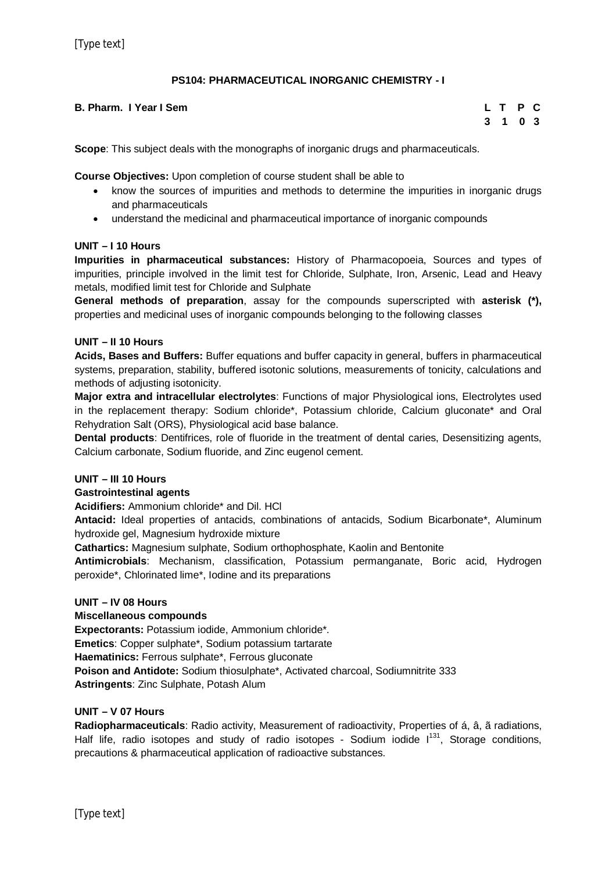## **PS104: PHARMACEUTICAL INORGANIC CHEMISTRY - I**

#### **B. Pharm. I Year I Sem L T P C**

**3 1 0 3**

**Scope**: This subject deals with the monographs of inorganic drugs and pharmaceuticals.

**Course Objectives:** Upon completion of course student shall be able to

- know the sources of impurities and methods to determine the impurities in inorganic drugs and pharmaceuticals
- understand the medicinal and pharmaceutical importance of inorganic compounds

#### **UNIT – I 10 Hours**

**Impurities in pharmaceutical substances:** History of Pharmacopoeia, Sources and types of impurities, principle involved in the limit test for Chloride, Sulphate, Iron, Arsenic, Lead and Heavy metals, modified limit test for Chloride and Sulphate

**General methods of preparation**, assay for the compounds superscripted with **asterisk (\*),** properties and medicinal uses of inorganic compounds belonging to the following classes

#### **UNIT – II 10 Hours**

**Acids, Bases and Buffers:** Buffer equations and buffer capacity in general, buffers in pharmaceutical systems, preparation, stability, buffered isotonic solutions, measurements of tonicity, calculations and methods of adjusting isotonicity.

**Major extra and intracellular electrolytes**: Functions of major Physiological ions, Electrolytes used in the replacement therapy: Sodium chloride\*, Potassium chloride, Calcium gluconate\* and Oral Rehydration Salt (ORS), Physiological acid base balance.

**Dental products**: Dentifrices, role of fluoride in the treatment of dental caries, Desensitizing agents, Calcium carbonate, Sodium fluoride, and Zinc eugenol cement.

#### **UNIT – III 10 Hours**

#### **Gastrointestinal agents**

**Acidifiers:** Ammonium chloride\* and Dil. HCl

**Antacid:** Ideal properties of antacids, combinations of antacids, Sodium Bicarbonate\*, Aluminum hydroxide gel, Magnesium hydroxide mixture

**Cathartics:** Magnesium sulphate, Sodium orthophosphate, Kaolin and Bentonite

**Antimicrobials**: Mechanism, classification, Potassium permanganate, Boric acid, Hydrogen peroxide\*, Chlorinated lime\*, Iodine and its preparations

#### **UNIT – IV 08 Hours**

#### **Miscellaneous compounds**

**Expectorants:** Potassium iodide, Ammonium chloride\*. **Emetics**: Copper sulphate\*, Sodium potassium tartarate **Haematinics:** Ferrous sulphate\*, Ferrous gluconate **Poison and Antidote:** Sodium thiosulphate\*, Activated charcoal, Sodiumnitrite 333 **Astringents**: Zinc Sulphate, Potash Alum

## **UNIT – V 07 Hours**

**Radiopharmaceuticals**: Radio activity, Measurement of radioactivity, Properties of á, â, ã radiations, Half life, radio isotopes and study of radio isotopes - Sodium iodide  $1^{131}$ , Storage conditions, precautions & pharmaceutical application of radioactive substances.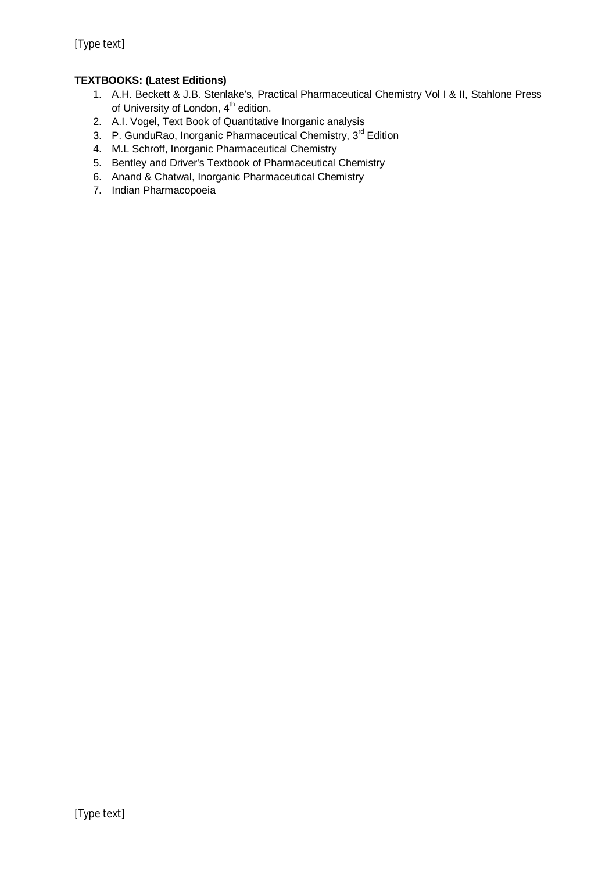## **TEXTBOOKS: (Latest Editions)**

- 1. A.H. Beckett & J.B. Stenlake's, Practical Pharmaceutical Chemistry Vol I & II, Stahlone Press of University of London, 4<sup>th</sup> edition.
- 2. A.I. Vogel, Text Book of Quantitative Inorganic analysis
- 3. P. GunduRao, Inorganic Pharmaceutical Chemistry, 3<sup>rd</sup> Edition
- 4. M.L Schroff, Inorganic Pharmaceutical Chemistry
- 5. Bentley and Driver's Textbook of Pharmaceutical Chemistry
- 6. Anand & Chatwal, Inorganic Pharmaceutical Chemistry
- 7. Indian Pharmacopoeia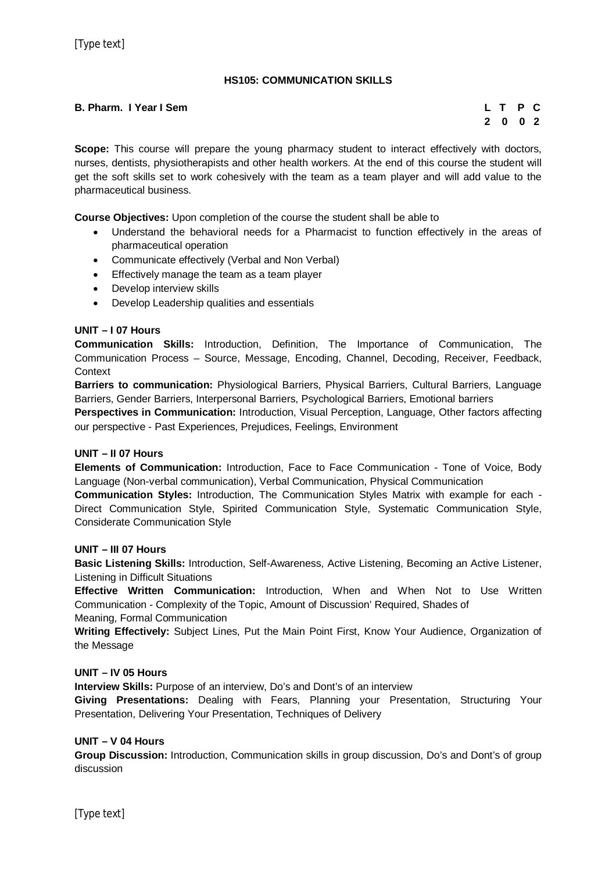## **HS105: COMMUNICATION SKILLS**

#### **B. Pharm. I Year I Sem L T P C**

# **2 0 0 2**

**Scope:** This course will prepare the young pharmacy student to interact effectively with doctors, nurses, dentists, physiotherapists and other health workers. At the end of this course the student will get the soft skills set to work cohesively with the team as a team player and will add value to the pharmaceutical business.

**Course Objectives:** Upon completion of the course the student shall be able to

- Understand the behavioral needs for a Pharmacist to function effectively in the areas of pharmaceutical operation
- Communicate effectively (Verbal and Non Verbal)
- **Effectively manage the team as a team player**
- Develop interview skills
- Develop Leadership qualities and essentials

## **UNIT – I 07 Hours**

**Communication Skills:** Introduction, Definition, The Importance of Communication, The Communication Process – Source, Message, Encoding, Channel, Decoding, Receiver, Feedback, **Context** 

**Barriers to communication:** Physiological Barriers, Physical Barriers, Cultural Barriers, Language Barriers, Gender Barriers, Interpersonal Barriers, Psychological Barriers, Emotional barriers

**Perspectives in Communication:** Introduction, Visual Perception, Language, Other factors affecting our perspective - Past Experiences, Prejudices, Feelings, Environment

#### **UNIT – II 07 Hours**

**Elements of Communication:** Introduction, Face to Face Communication - Tone of Voice, Body Language (Non-verbal communication), Verbal Communication, Physical Communication

**Communication Styles:** Introduction, The Communication Styles Matrix with example for each - Direct Communication Style, Spirited Communication Style, Systematic Communication Style, Considerate Communication Style

#### **UNIT – III 07 Hours**

**Basic Listening Skills:** Introduction, Self-Awareness, Active Listening, Becoming an Active Listener, Listening in Difficult Situations

**Effective Written Communication:** Introduction, When and When Not to Use Written Communication - Complexity of the Topic, Amount of Discussion' Required, Shades of

Meaning, Formal Communication

**Writing Effectively:** Subject Lines, Put the Main Point First, Know Your Audience, Organization of the Message

#### **UNIT – IV 05 Hours**

**Interview Skills:** Purpose of an interview, Do's and Dont's of an interview

**Giving Presentations:** Dealing with Fears, Planning your Presentation, Structuring Your Presentation, Delivering Your Presentation, Techniques of Delivery

#### **UNIT – V 04 Hours**

**Group Discussion:** Introduction, Communication skills in group discussion, Do's and Dont's of group discussion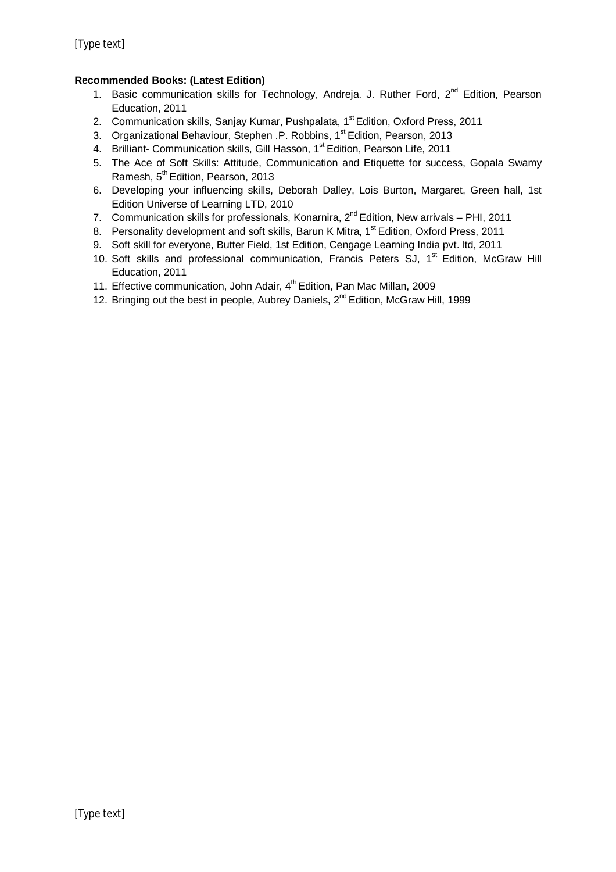## **Recommended Books: (Latest Edition)**

- 1. Basic communication skills for Technology, Andreja. J. Ruther Ford, 2<sup>nd</sup> Edition, Pearson Education, 2011
- 2. Communication skills, Sanjay Kumar, Pushpalata, 1<sup>st</sup> Edition, Oxford Press, 2011
- 3. Organizational Behaviour, Stephen .P. Robbins, 1st Edition, Pearson, 2013
- 4. Brilliant- Communication skills, Gill Hasson, 1<sup>st</sup> Edition, Pearson Life, 2011
- 5. The Ace of Soft Skills: Attitude, Communication and Etiquette for success, Gopala Swamy Ramesh, 5<sup>th</sup> Edition, Pearson, 2013
- 6. Developing your influencing skills, Deborah Dalley, Lois Burton, Margaret, Green hall, 1st Edition Universe of Learning LTD, 2010
- 7. Communication skills for professionals, Konarnira,  $2^{nd}$  Edition, New arrivals PHI, 2011
- 8. Personality development and soft skills, Barun K Mitra, 1<sup>st</sup> Edition, Oxford Press, 2011
- 9. Soft skill for everyone, Butter Field, 1st Edition, Cengage Learning India pvt. ltd, 2011
- 10. Soft skills and professional communication, Francis Peters SJ, 1<sup>st</sup> Edition, McGraw Hill Education, 2011
- 11. Effective communication, John Adair, 4<sup>th</sup> Edition, Pan Mac Millan, 2009
- 12. Bringing out the best in people, Aubrey Daniels,  $2^{nd}$  Edition, McGraw Hill, 1999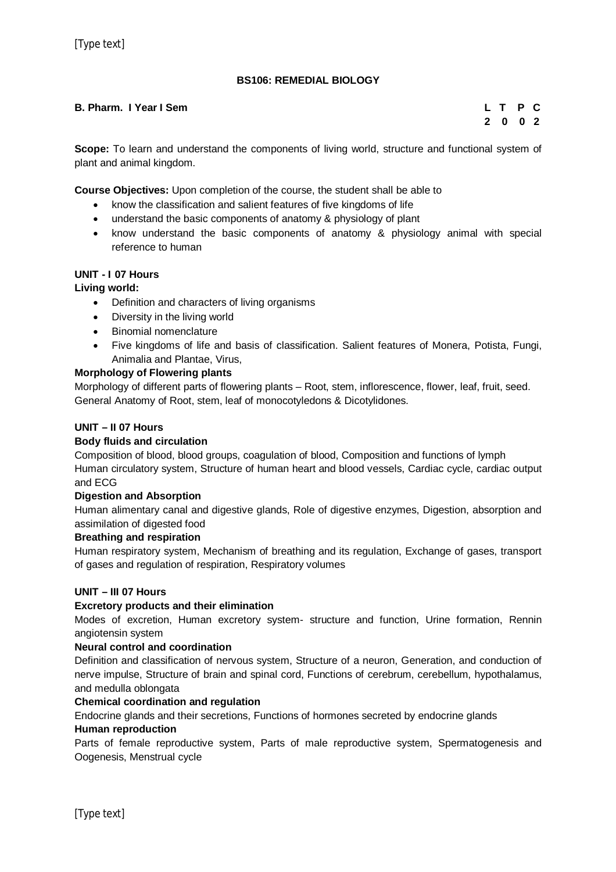## **BS106: REMEDIAL BIOLOGY**

## **B. Pharm. I Year I Sem L T P C**

# **2 0 0 2**

**Scope:** To learn and understand the components of living world, structure and functional system of plant and animal kingdom.

**Course Objectives:** Upon completion of the course, the student shall be able to

- know the classification and salient features of five kingdoms of life
- understand the basic components of anatomy & physiology of plant
- know understand the basic components of anatomy & physiology animal with special reference to human

## **UNIT - I 07 Hours**

## **Living world:**

- Definition and characters of living organisms
- Diversity in the living world
- Binomial nomenclature
- Five kingdoms of life and basis of classification. Salient features of Monera, Potista, Fungi, Animalia and Plantae, Virus,

## **Morphology of Flowering plants**

Morphology of different parts of flowering plants – Root, stem, inflorescence, flower, leaf, fruit, seed. General Anatomy of Root, stem, leaf of monocotyledons & Dicotylidones.

#### **UNIT – II 07 Hours**

## **Body fluids and circulation**

Composition of blood, blood groups, coagulation of blood, Composition and functions of lymph Human circulatory system, Structure of human heart and blood vessels, Cardiac cycle, cardiac output and ECG

#### **Digestion and Absorption**

Human alimentary canal and digestive glands, Role of digestive enzymes, Digestion, absorption and assimilation of digested food

#### **Breathing and respiration**

Human respiratory system, Mechanism of breathing and its regulation, Exchange of gases, transport of gases and regulation of respiration, Respiratory volumes

#### **UNIT – III 07 Hours**

#### **Excretory products and their elimination**

Modes of excretion, Human excretory system- structure and function, Urine formation, Rennin angiotensin system

#### **Neural control and coordination**

Definition and classification of nervous system, Structure of a neuron, Generation, and conduction of nerve impulse, Structure of brain and spinal cord, Functions of cerebrum, cerebellum, hypothalamus, and medulla oblongata

#### **Chemical coordination and regulation**

Endocrine glands and their secretions, Functions of hormones secreted by endocrine glands **Human reproduction**

Parts of female reproductive system, Parts of male reproductive system, Spermatogenesis and Oogenesis, Menstrual cycle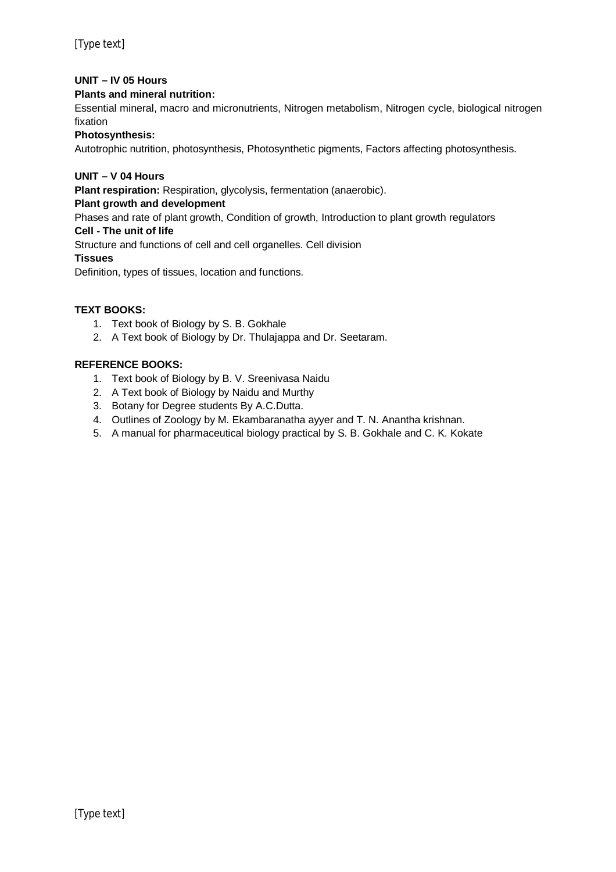## **UNIT – IV 05 Hours**

## **Plants and mineral nutrition:**

Essential mineral, macro and micronutrients, Nitrogen metabolism, Nitrogen cycle, biological nitrogen fixation

## **Photosynthesis:**

Autotrophic nutrition, photosynthesis, Photosynthetic pigments, Factors affecting photosynthesis.

## **UNIT – V 04 Hours**

**Plant respiration:** Respiration, glycolysis, fermentation (anaerobic).

## **Plant growth and development**

Phases and rate of plant growth, Condition of growth, Introduction to plant growth regulators

## **Cell - The unit of life**

Structure and functions of cell and cell organelles. Cell division

#### **Tissues**

Definition, types of tissues, location and functions.

## **TEXT BOOKS:**

- 1. Text book of Biology by S. B. Gokhale
- 2. A Text book of Biology by Dr. Thulajappa and Dr. Seetaram.

## **REFERENCE BOOKS:**

- 1. Text book of Biology by B. V. Sreenivasa Naidu
- 2. A Text book of Biology by Naidu and Murthy
- 3. Botany for Degree students By A.C.Dutta.
- 4. Outlines of Zoology by M. Ekambaranatha ayyer and T. N. Anantha krishnan.
- 5. A manual for pharmaceutical biology practical by S. B. Gokhale and C. K. Kokate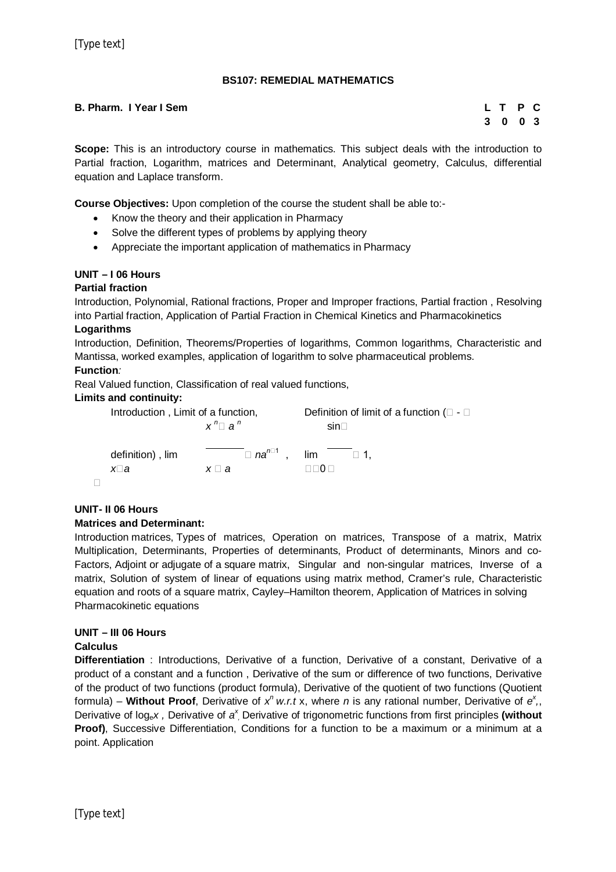## **BS107: REMEDIAL MATHEMATICS**

## **B. Pharm. I Year I Sem L T P C**

# **3 0 0 3**

**Scope:** This is an introductory course in mathematics. This subject deals with the introduction to Partial fraction, Logarithm, matrices and Determinant, Analytical geometry, Calculus, differential equation and Laplace transform.

**Course Objectives:** Upon completion of the course the student shall be able to:-

- Know the theory and their application in Pharmacy
- Solve the different types of problems by applying theory
- Appreciate the important application of mathematics in Pharmacy

## **UNIT – I 06 Hours**

## **Partial fraction**

Introduction, Polynomial, Rational fractions, Proper and Improper fractions, Partial fraction , Resolving into Partial fraction, Application of Partial Fraction in Chemical Kinetics and Pharmacokinetics **Logarithms**

Introduction, Definition, Theorems/Properties of logarithms, Common logarithms, Characteristic and Mantissa, worked examples, application of logarithm to solve pharmaceutical problems.

## **Function***:*

Real Valued function, Classification of real valued functions,

#### **Limits and continuity:**

| Introduction, Limit of a function, |                | Definition of limit of a function ( $\square$ - $\square$         |  |  |
|------------------------------------|----------------|-------------------------------------------------------------------|--|--|
|                                    | $x^n \Box a^n$ | $sin \Box$                                                        |  |  |
| definition), lim<br>x⊔a            | $x \sqcup a$   | $\Box$ na <sup>n<math>\Box</math></sup> , lim $\Box$ 1,<br>⊟ ∩ רו |  |  |
|                                    |                |                                                                   |  |  |

## **UNIT- II 06 Hours Matrices and Determinant:**

Introduction matrices, Types of matrices, Operation on matrices, Transpose of a matrix, Matrix Multiplication, Determinants, Properties of determinants, Product of determinants, Minors and co-Factors, Adjoint or adjugate of a square matrix, Singular and non-singular matrices, Inverse of a matrix, Solution of system of linear of equations using matrix method, Cramer's rule, Characteristic equation and roots of a square matrix, Cayley–Hamilton theorem, Application of Matrices in solving Pharmacokinetic equations

## **UNIT – III 06 Hours**

## **Calculus**

**Differentiation** : Introductions, Derivative of a function, Derivative of a constant, Derivative of a product of a constant and a function , Derivative of the sum or difference of two functions, Derivative of the product of two functions (product formula), Derivative of the quotient of two functions (Quotient formula) – Without Proof, Derivative of  $x^n$  w.r.t x, where n is any rational number, Derivative of  $e^x$ , Derivative of log<sub>e</sub>x, Derivative of a<sup>x</sup>, Derivative of trigonometric functions from first principles (without **Proof)**, Successive Differentiation, Conditions for a function to be a maximum or a minimum at a point. Application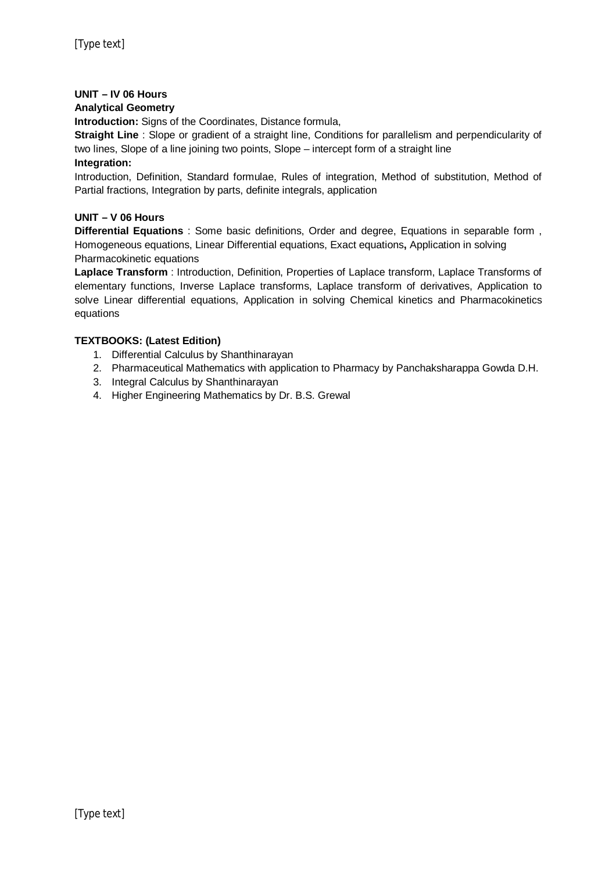## **UNIT – IV 06 Hours**

#### **Analytical Geometry**

**Introduction:** Signs of the Coordinates, Distance formula,

**Straight Line** : Slope or gradient of a straight line, Conditions for parallelism and perpendicularity of two lines, Slope of a line joining two points, Slope – intercept form of a straight line **Integration:**

Introduction, Definition, Standard formulae, Rules of integration, Method of substitution, Method of Partial fractions, Integration by parts, definite integrals, application

## **UNIT – V 06 Hours**

**Differential Equations** : Some basic definitions, Order and degree, Equations in separable form , Homogeneous equations, Linear Differential equations, Exact equations**,** Application in solving Pharmacokinetic equations

**Laplace Transform** : Introduction, Definition, Properties of Laplace transform, Laplace Transforms of elementary functions, Inverse Laplace transforms, Laplace transform of derivatives, Application to solve Linear differential equations, Application in solving Chemical kinetics and Pharmacokinetics equations

## **TEXTBOOKS: (Latest Edition)**

- 1. Differential Calculus by Shanthinarayan
- 2. Pharmaceutical Mathematics with application to Pharmacy by Panchaksharappa Gowda D.H.
- 3. Integral Calculus by Shanthinarayan
- 4. Higher Engineering Mathematics by Dr. B.S. Grewal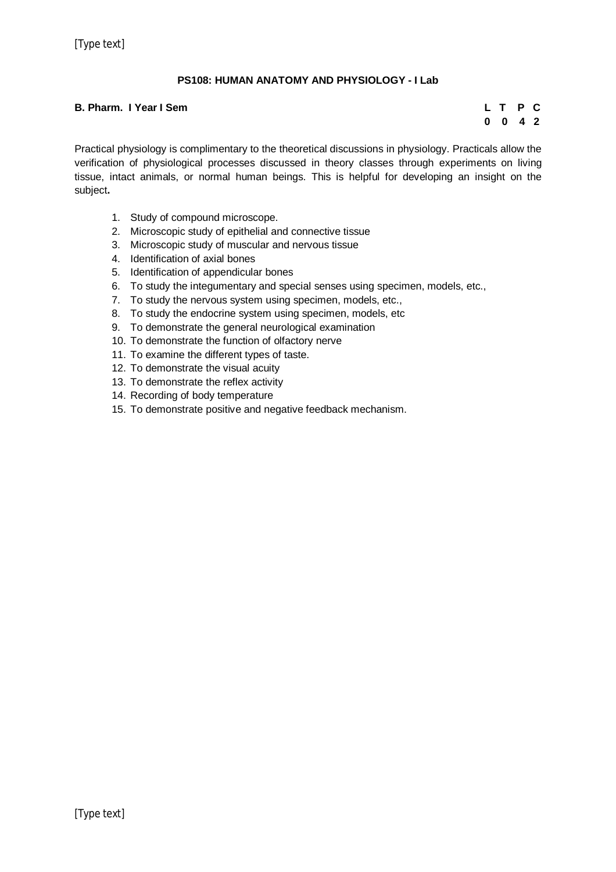## **PS108: HUMAN ANATOMY AND PHYSIOLOGY - I Lab**

#### **B. Pharm. I Year I Sem L T P C**

**0 0 4 2**

Practical physiology is complimentary to the theoretical discussions in physiology. Practicals allow the verification of physiological processes discussed in theory classes through experiments on living tissue, intact animals, or normal human beings. This is helpful for developing an insight on the subject**.**

- 1. Study of compound microscope.
- 2. Microscopic study of epithelial and connective tissue
- 3. Microscopic study of muscular and nervous tissue
- 4. Identification of axial bones
- 5. Identification of appendicular bones
- 6. To study the integumentary and special senses using specimen, models, etc.,
- 7. To study the nervous system using specimen, models, etc.,
- 8. To study the endocrine system using specimen, models, etc
- 9. To demonstrate the general neurological examination
- 10. To demonstrate the function of olfactory nerve
- 11. To examine the different types of taste.
- 12. To demonstrate the visual acuity
- 13. To demonstrate the reflex activity
- 14. Recording of body temperature
- 15. To demonstrate positive and negative feedback mechanism.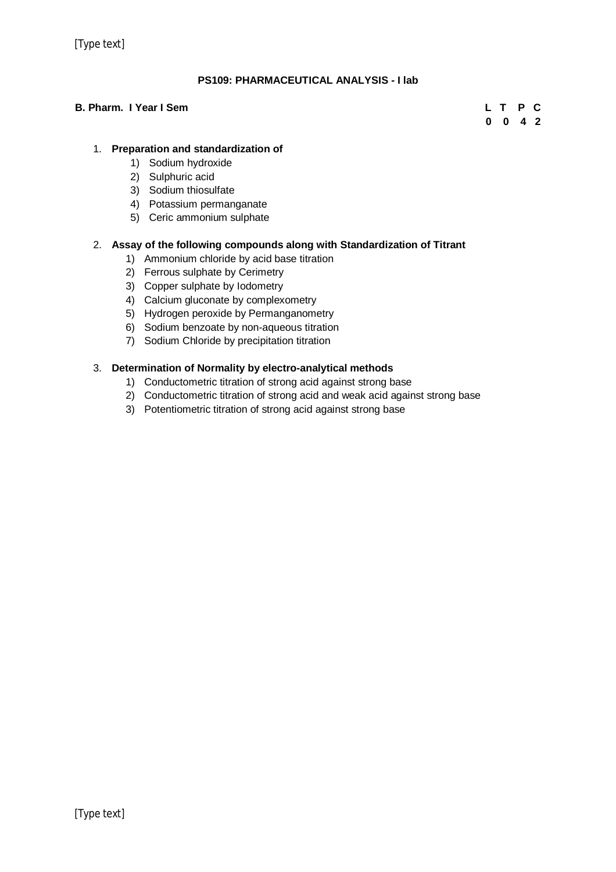[Type text]

## **PS109: PHARMACEUTICAL ANALYSIS - I lab**

## **B. Pharm. I Year I Sem L T P C**

**0 0 4 2**

## 1. **Preparation and standardization of**

- 1) Sodium hydroxide
- 2) Sulphuric acid
- 3) Sodium thiosulfate
- 4) Potassium permanganate
- 5) Ceric ammonium sulphate

## 2. **Assay of the following compounds along with Standardization of Titrant**

- 1) Ammonium chloride by acid base titration
- 2) Ferrous sulphate by Cerimetry
- 3) Copper sulphate by Iodometry
- 4) Calcium gluconate by complexometry
- 5) Hydrogen peroxide by Permanganometry
- 6) Sodium benzoate by non-aqueous titration
- 7) Sodium Chloride by precipitation titration

## 3. **Determination of Normality by electro-analytical methods**

- 1) Conductometric titration of strong acid against strong base
- 2) Conductometric titration of strong acid and weak acid against strong base
- 3) Potentiometric titration of strong acid against strong base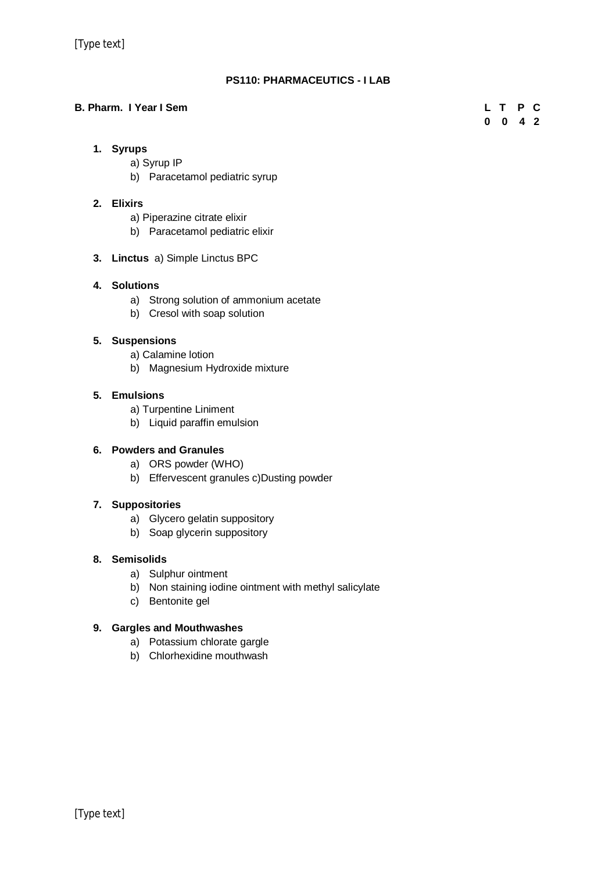## **PS110: PHARMACEUTICS - I LAB**

## **B. Pharm. I Year I Sem L T P C**

**0 0 4 2**

## **1. Syrups**

- a) Syrup IP
- b) Paracetamol pediatric syrup

## **2. Elixirs**

- a) Piperazine citrate elixir
- b) Paracetamol pediatric elixir
- **3. Linctus** a) Simple Linctus BPC

## **4. Solutions**

- a) Strong solution of ammonium acetate
- b) Cresol with soap solution

## **5. Suspensions**

- a) Calamine lotion
- b) Magnesium Hydroxide mixture

## **5. Emulsions**

- a) Turpentine Liniment
- b) Liquid paraffin emulsion

## **6. Powders and Granules**

- a) ORS powder (WHO)
- b) Effervescent granules c)Dusting powder

## **7. Suppositories**

- a) Glycero gelatin suppository
- b) Soap glycerin suppository

## **8. Semisolids**

- a) Sulphur ointment
- b) Non staining iodine ointment with methyl salicylate
- c) Bentonite gel

## **9. Gargles and Mouthwashes**

- a) Potassium chlorate gargle
- b) Chlorhexidine mouthwash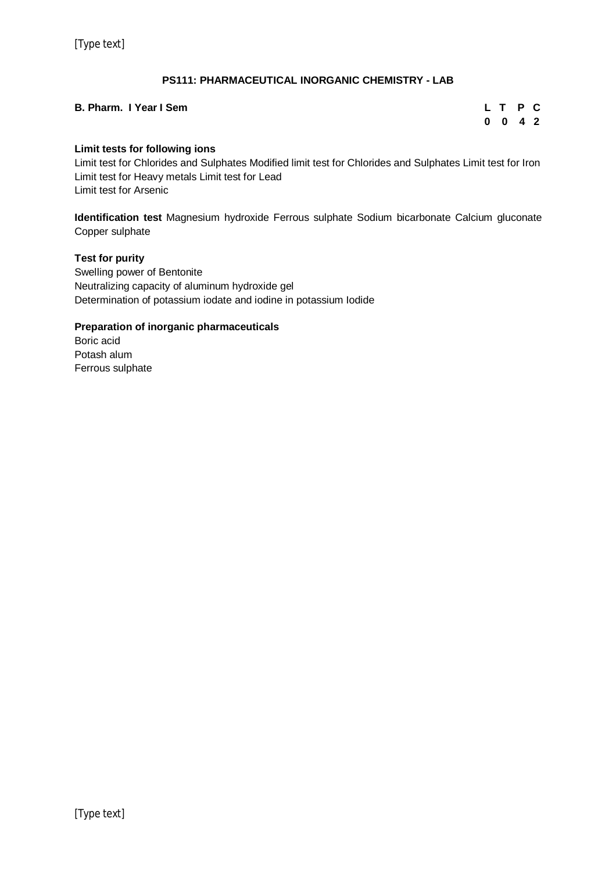## **PS111: PHARMACEUTICAL INORGANIC CHEMISTRY - LAB**

## **B. Pharm. I Year I Sem**

| L T |   | P              | C. |
|-----|---|----------------|----|
| 0   | 0 | 4 <sub>2</sub> |    |

## **Limit tests for following ions**

Limit test for Chlorides and Sulphates Modified limit test for Chlorides and Sulphates Limit test for Iron Limit test for Heavy metals Limit test for Lead Limit test for Arsenic

**Identification test** Magnesium hydroxide Ferrous sulphate Sodium bicarbonate Calcium gluconate Copper sulphate

## **Test for purity**

Swelling power of Bentonite Neutralizing capacity of aluminum hydroxide gel Determination of potassium iodate and iodine in potassium Iodide

## **Preparation of inorganic pharmaceuticals**

Boric acid Potash alum Ferrous sulphate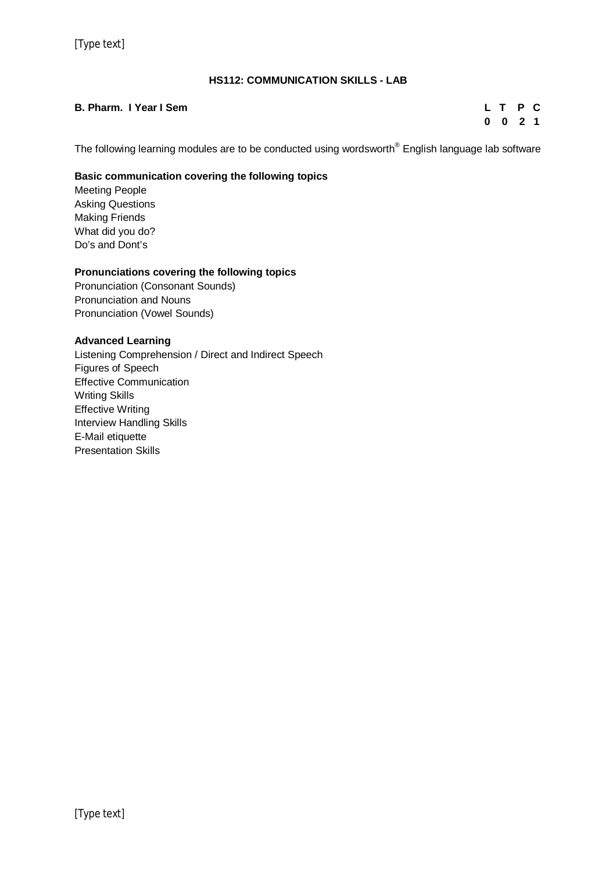## **HS112: COMMUNICATION SKILLS - LAB**

## **B. Pharm. I Year I Sem L T P C**

**0 0 2 1**

The following learning modules are to be conducted using wordsworth® English language lab software

## **Basic communication covering the following topics**

Meeting People Asking Questions Making Friends What did you do? Do's and Dont's

#### **Pronunciations covering the following topics**

Pronunciation (Consonant Sounds) Pronunciation and Nouns Pronunciation (Vowel Sounds)

## **Advanced Learning**

Listening Comprehension / Direct and Indirect Speech Figures of Speech Effective Communication Writing Skills Effective Writing Interview Handling Skills E-Mail etiquette Presentation Skills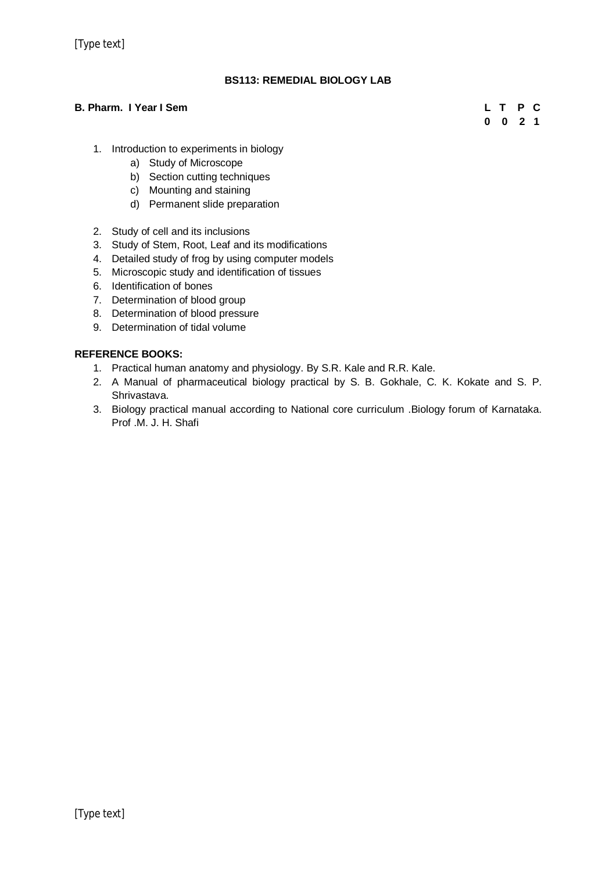## **BS113: REMEDIAL BIOLOGY LAB**

## **B. Pharm. I Year I Sem L T P C**

**0 0 2 1**

- 1. Introduction to experiments in biology
	- a) Study of Microscope
	- b) Section cutting techniques
	- c) Mounting and staining
	- d) Permanent slide preparation
- 2. Study of cell and its inclusions
- 3. Study of Stem, Root, Leaf and its modifications
- 4. Detailed study of frog by using computer models
- 5. Microscopic study and identification of tissues
- 6. Identification of bones
- 7. Determination of blood group
- 8. Determination of blood pressure
- 9. Determination of tidal volume

## **REFERENCE BOOKS:**

- 1. Practical human anatomy and physiology. By S.R. Kale and R.R. Kale.
- 2. A Manual of pharmaceutical biology practical by S. B. Gokhale, C. K. Kokate and S. P. Shrivastava.
- 3. Biology practical manual according to National core curriculum .Biology forum of Karnataka. Prof .M. J. H. Shafi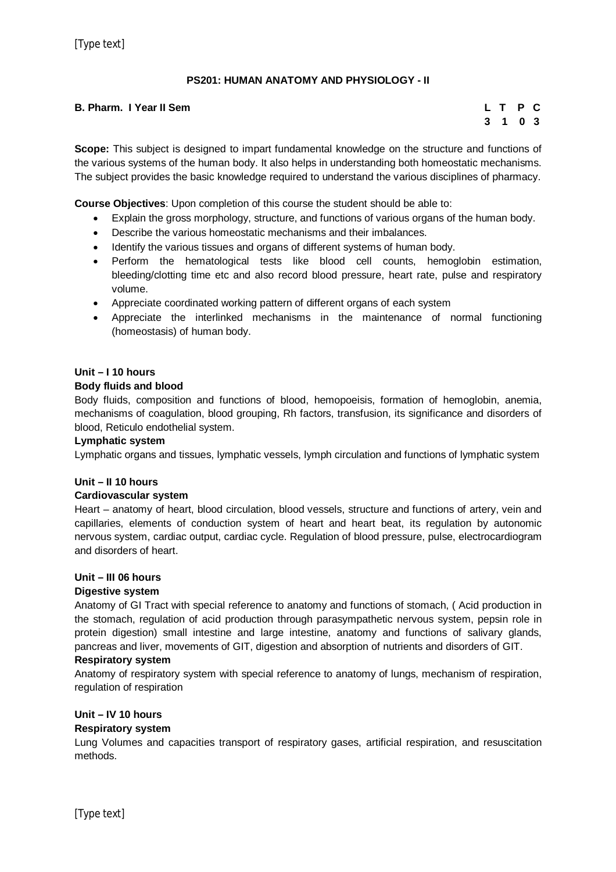## **PS201: HUMAN ANATOMY AND PHYSIOLOGY - II**

## **B. Pharm. I Year II Sem**

| Т. | т | P            | С   |
|----|---|--------------|-----|
| 3  | 1 | $\mathbf{0}$ | - 3 |

**Scope:** This subject is designed to impart fundamental knowledge on the structure and functions of the various systems of the human body. It also helps in understanding both homeostatic mechanisms. The subject provides the basic knowledge required to understand the various disciplines of pharmacy.

**Course Objectives**: Upon completion of this course the student should be able to:

- Explain the gross morphology, structure, and functions of various organs of the human body.
- Describe the various homeostatic mechanisms and their imbalances.
- Identify the various tissues and organs of different systems of human body.
- Perform the hematological tests like blood cell counts, hemoglobin estimation, bleeding/clotting time etc and also record blood pressure, heart rate, pulse and respiratory volume.
- Appreciate coordinated working pattern of different organs of each system
- Appreciate the interlinked mechanisms in the maintenance of normal functioning (homeostasis) of human body.

## **Unit – I 10 hours**

## **Body fluids and blood**

Body fluids, composition and functions of blood, hemopoeisis, formation of hemoglobin, anemia, mechanisms of coagulation, blood grouping, Rh factors, transfusion, its significance and disorders of blood, Reticulo endothelial system.

### **Lymphatic system**

Lymphatic organs and tissues, lymphatic vessels, lymph circulation and functions of lymphatic system

#### **Unit – II 10 hours**

#### **Cardiovascular system**

Heart – anatomy of heart, blood circulation, blood vessels, structure and functions of artery, vein and capillaries, elements of conduction system of heart and heart beat, its regulation by autonomic nervous system, cardiac output, cardiac cycle. Regulation of blood pressure, pulse, electrocardiogram and disorders of heart.

## **Unit – III 06 hours**

#### **Digestive system**

Anatomy of GI Tract with special reference to anatomy and functions of stomach, ( Acid production in the stomach, regulation of acid production through parasympathetic nervous system, pepsin role in protein digestion) small intestine and large intestine, anatomy and functions of salivary glands, pancreas and liver, movements of GIT, digestion and absorption of nutrients and disorders of GIT.

#### **Respiratory system**

Anatomy of respiratory system with special reference to anatomy of lungs, mechanism of respiration, regulation of respiration

## **Unit – IV 10 hours**

## **Respiratory system**

Lung Volumes and capacities transport of respiratory gases, artificial respiration, and resuscitation methods.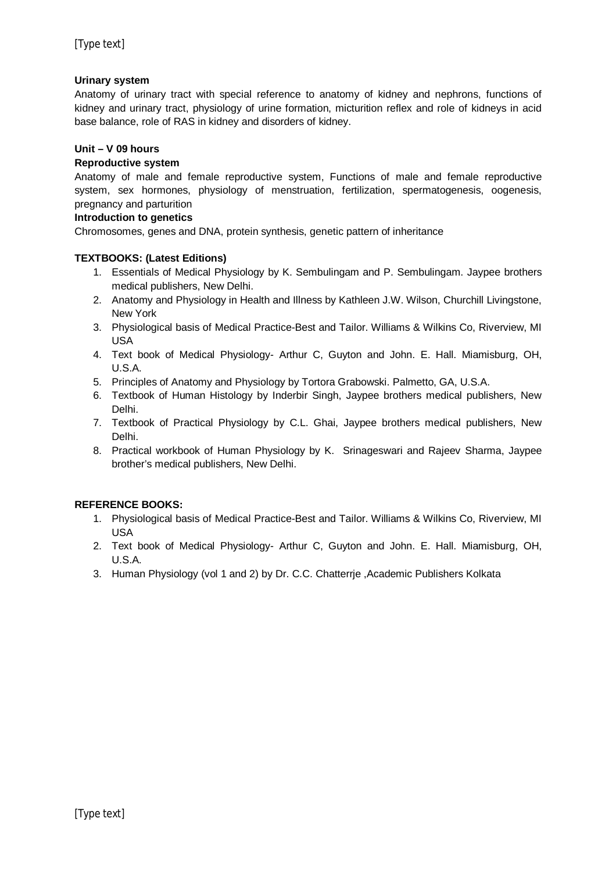## **Urinary system**

Anatomy of urinary tract with special reference to anatomy of kidney and nephrons, functions of kidney and urinary tract, physiology of urine formation, micturition reflex and role of kidneys in acid base balance, role of RAS in kidney and disorders of kidney.

### **Unit – V 09 hours**

### **Reproductive system**

Anatomy of male and female reproductive system, Functions of male and female reproductive system, sex hormones, physiology of menstruation, fertilization, spermatogenesis, oogenesis, pregnancy and parturition

## **Introduction to genetics**

Chromosomes, genes and DNA, protein synthesis, genetic pattern of inheritance

## **TEXTBOOKS: (Latest Editions)**

- 1. Essentials of Medical Physiology by K. Sembulingam and P. Sembulingam. Jaypee brothers medical publishers, New Delhi.
- 2. Anatomy and Physiology in Health and Illness by Kathleen J.W. Wilson, Churchill Livingstone, New York
- 3. Physiological basis of Medical Practice-Best and Tailor. Williams & Wilkins Co, Riverview, MI USA
- 4. Text book of Medical Physiology- Arthur C, Guyton and John. E. Hall. Miamisburg, OH, U.S.A.
- 5. Principles of Anatomy and Physiology by Tortora Grabowski. Palmetto, GA, U.S.A.
- 6. Textbook of Human Histology by Inderbir Singh, Jaypee brothers medical publishers, New Delhi.
- 7. Textbook of Practical Physiology by C.L. Ghai, Jaypee brothers medical publishers, New Delhi.
- 8. Practical workbook of Human Physiology by K. Srinageswari and Rajeev Sharma, Jaypee brother's medical publishers, New Delhi.

## **REFERENCE BOOKS:**

- 1. Physiological basis of Medical Practice-Best and Tailor. Williams & Wilkins Co, Riverview, MI USA
- 2. Text book of Medical Physiology- Arthur C, Guyton and John. E. Hall. Miamisburg, OH, U.S.A.
- 3. Human Physiology (vol 1 and 2) by Dr. C.C. Chatterrje ,Academic Publishers Kolkata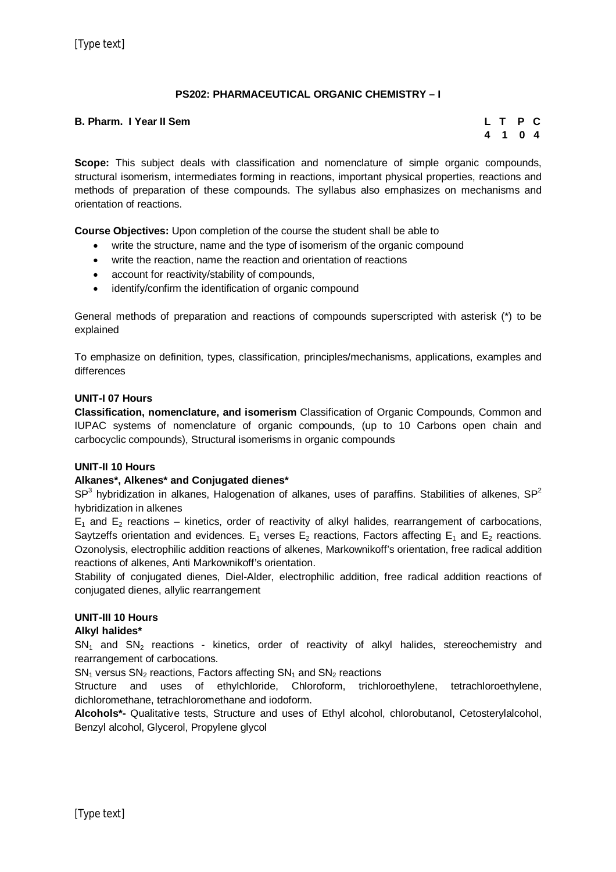## **PS202: PHARMACEUTICAL ORGANIC CHEMISTRY – I**

### **B. Pharm. I Year II Sem L T P C**

# **4 1 0 4**

**Scope:** This subject deals with classification and nomenclature of simple organic compounds, structural isomerism, intermediates forming in reactions, important physical properties, reactions and methods of preparation of these compounds. The syllabus also emphasizes on mechanisms and orientation of reactions.

**Course Objectives:** Upon completion of the course the student shall be able to

- write the structure, name and the type of isomerism of the organic compound
- write the reaction, name the reaction and orientation of reactions
- account for reactivity/stability of compounds,
- identify/confirm the identification of organic compound

General methods of preparation and reactions of compounds superscripted with asterisk (\*) to be explained

To emphasize on definition, types, classification, principles/mechanisms, applications, examples and differences

#### **UNIT-I 07 Hours**

**Classification, nomenclature, and isomerism** Classification of Organic Compounds, Common and IUPAC systems of nomenclature of organic compounds, (up to 10 Carbons open chain and carbocyclic compounds), Structural isomerisms in organic compounds

#### **UNIT-II 10 Hours**

#### **Alkanes\*, Alkenes\* and Conjugated dienes\***

SP<sup>3</sup> hybridization in alkanes, Halogenation of alkanes, uses of paraffins. Stabilities of alkenes, SP<sup>2</sup> hybridization in alkenes

 $E_1$  and  $E_2$  reactions – kinetics, order of reactivity of alkyl halides, rearrangement of carbocations, Saytzeffs orientation and evidences.  $E_1$  verses  $E_2$  reactions, Factors affecting  $E_1$  and  $E_2$  reactions. Ozonolysis, electrophilic addition reactions of alkenes, Markownikoff's orientation, free radical addition reactions of alkenes, Anti Markownikoff's orientation.

Stability of conjugated dienes, Diel-Alder, electrophilic addition, free radical addition reactions of conjugated dienes, allylic rearrangement

## **UNIT-III 10 Hours**

#### **Alkyl halides\***

 $SN<sub>1</sub>$  and  $SN<sub>2</sub>$  reactions - kinetics, order of reactivity of alkyl halides, stereochemistry and rearrangement of carbocations.

 $SN_1$  versus  $SN_2$  reactions, Factors affecting  $SN_1$  and  $SN_2$  reactions

Structure and uses of ethylchloride, Chloroform, trichloroethylene, tetrachloroethylene, dichloromethane, tetrachloromethane and iodoform.

**Alcohols\*-** Qualitative tests, Structure and uses of Ethyl alcohol, chlorobutanol, Cetosterylalcohol, Benzyl alcohol, Glycerol, Propylene glycol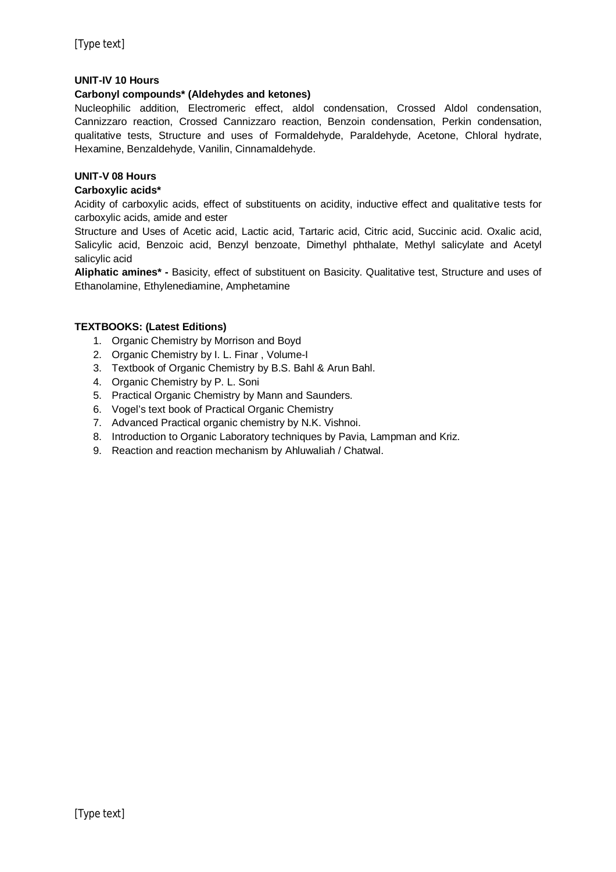## **UNIT-IV 10 Hours**

#### **Carbonyl compounds\* (Aldehydes and ketones)**

Nucleophilic addition, Electromeric effect, aldol condensation, Crossed Aldol condensation, Cannizzaro reaction, Crossed Cannizzaro reaction, Benzoin condensation, Perkin condensation, qualitative tests, Structure and uses of Formaldehyde, Paraldehyde, Acetone, Chloral hydrate, Hexamine, Benzaldehyde, Vanilin, Cinnamaldehyde.

## **UNIT-V 08 Hours**

#### **Carboxylic acids\***

Acidity of carboxylic acids, effect of substituents on acidity, inductive effect and qualitative tests for carboxylic acids, amide and ester

Structure and Uses of Acetic acid, Lactic acid, Tartaric acid, Citric acid, Succinic acid. Oxalic acid, Salicylic acid, Benzoic acid, Benzyl benzoate, Dimethyl phthalate, Methyl salicylate and Acetyl salicylic acid

**Aliphatic amines\* -** Basicity, effect of substituent on Basicity. Qualitative test, Structure and uses of Ethanolamine, Ethylenediamine, Amphetamine

#### **TEXTBOOKS: (Latest Editions)**

- 1. Organic Chemistry by Morrison and Boyd
- 2. Organic Chemistry by I. L. Finar , Volume-I
- 3. Textbook of Organic Chemistry by B.S. Bahl & Arun Bahl.
- 4. Organic Chemistry by P. L. Soni
- 5. Practical Organic Chemistry by Mann and Saunders.
- 6. Vogel's text book of Practical Organic Chemistry
- 7. Advanced Practical organic chemistry by N.K. Vishnoi.
- 8. Introduction to Organic Laboratory techniques by Pavia, Lampman and Kriz.
- 9. Reaction and reaction mechanism by Ahluwaliah / Chatwal.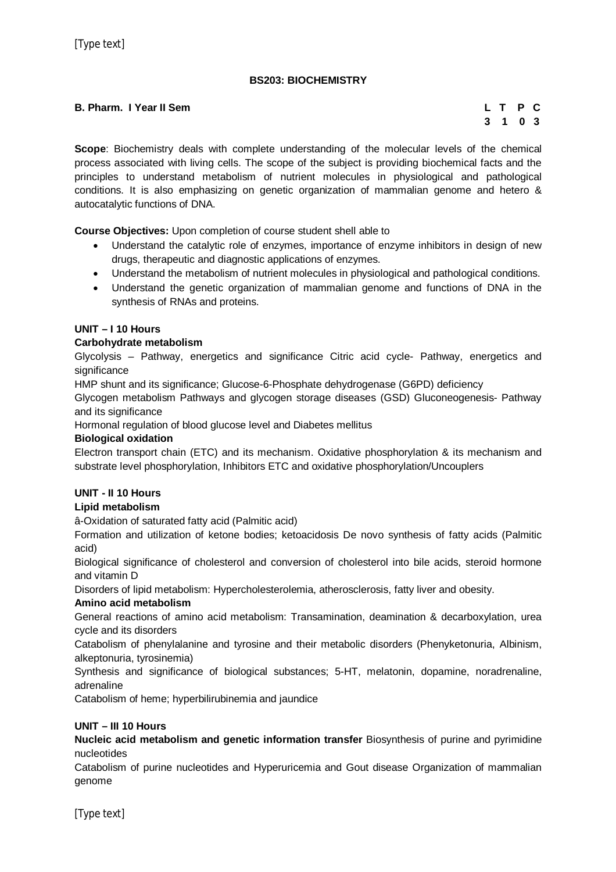## **BS203: BIOCHEMISTRY**

#### **B. Pharm. I Year II Sem L T P C**

# **3 1 0 3**

**Scope**: Biochemistry deals with complete understanding of the molecular levels of the chemical process associated with living cells. The scope of the subject is providing biochemical facts and the principles to understand metabolism of nutrient molecules in physiological and pathological conditions. It is also emphasizing on genetic organization of mammalian genome and hetero & autocatalytic functions of DNA.

**Course Objectives:** Upon completion of course student shell able to

- Understand the catalytic role of enzymes, importance of enzyme inhibitors in design of new drugs, therapeutic and diagnostic applications of enzymes.
- Understand the metabolism of nutrient molecules in physiological and pathological conditions.
- Understand the genetic organization of mammalian genome and functions of DNA in the synthesis of RNAs and proteins.

## **UNIT – I 10 Hours**

## **Carbohydrate metabolism**

Glycolysis – Pathway, energetics and significance Citric acid cycle- Pathway, energetics and significance

HMP shunt and its significance; Glucose-6-Phosphate dehydrogenase (G6PD) deficiency

Glycogen metabolism Pathways and glycogen storage diseases (GSD) Gluconeogenesis- Pathway and its significance

Hormonal regulation of blood glucose level and Diabetes mellitus

### **Biological oxidation**

Electron transport chain (ETC) and its mechanism. Oxidative phosphorylation & its mechanism and substrate level phosphorylation, Inhibitors ETC and oxidative phosphorylation/Uncouplers

## **UNIT - II 10 Hours**

## **Lipid metabolism**

â-Oxidation of saturated fatty acid (Palmitic acid)

Formation and utilization of ketone bodies; ketoacidosis De novo synthesis of fatty acids (Palmitic acid)

Biological significance of cholesterol and conversion of cholesterol into bile acids, steroid hormone and vitamin D

Disorders of lipid metabolism: Hypercholesterolemia, atherosclerosis, fatty liver and obesity.

#### **Amino acid metabolism**

General reactions of amino acid metabolism: Transamination, deamination & decarboxylation, urea cycle and its disorders

Catabolism of phenylalanine and tyrosine and their metabolic disorders (Phenyketonuria, Albinism, alkeptonuria, tyrosinemia)

Synthesis and significance of biological substances; 5-HT, melatonin, dopamine, noradrenaline, adrenaline

Catabolism of heme; hyperbilirubinemia and jaundice

#### **UNIT – III 10 Hours**

**Nucleic acid metabolism and genetic information transfer** Biosynthesis of purine and pyrimidine nucleotides

Catabolism of purine nucleotides and Hyperuricemia and Gout disease Organization of mammalian genome

[Type text]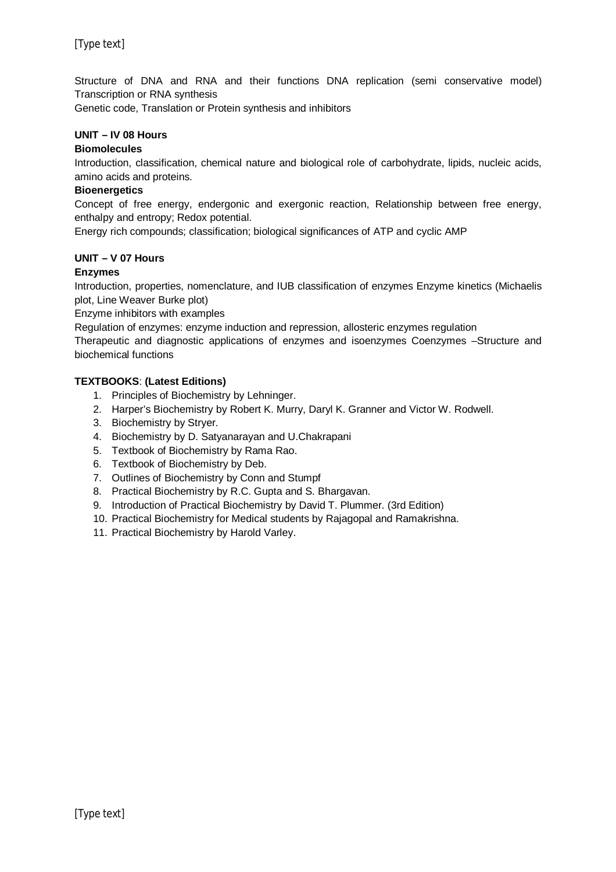Structure of DNA and RNA and their functions DNA replication (semi conservative model) Transcription or RNA synthesis

Genetic code, Translation or Protein synthesis and inhibitors

## **UNIT – IV 08 Hours**

#### **Biomolecules**

Introduction, classification, chemical nature and biological role of carbohydrate, lipids, nucleic acids, amino acids and proteins.

#### **Bioenergetics**

Concept of free energy, endergonic and exergonic reaction, Relationship between free energy, enthalpy and entropy; Redox potential.

Energy rich compounds; classification; biological significances of ATP and cyclic AMP

#### **UNIT – V 07 Hours**

## **Enzymes**

Introduction, properties, nomenclature, and IUB classification of enzymes Enzyme kinetics (Michaelis plot, Line Weaver Burke plot)

Enzyme inhibitors with examples

Regulation of enzymes: enzyme induction and repression, allosteric enzymes regulation

Therapeutic and diagnostic applications of enzymes and isoenzymes Coenzymes –Structure and biochemical functions

#### **TEXTBOOKS**: **(Latest Editions)**

- 1. Principles of Biochemistry by Lehninger.
- 2. Harper's Biochemistry by Robert K. Murry, Daryl K. Granner and Victor W. Rodwell.
- 3. Biochemistry by Stryer.
- 4. Biochemistry by D. Satyanarayan and U.Chakrapani
- 5. Textbook of Biochemistry by Rama Rao.
- 6. Textbook of Biochemistry by Deb.
- 7. Outlines of Biochemistry by Conn and Stumpf
- 8. Practical Biochemistry by R.C. Gupta and S. Bhargavan.
- 9. Introduction of Practical Biochemistry by David T. Plummer. (3rd Edition)
- 10. Practical Biochemistry for Medical students by Rajagopal and Ramakrishna.
- 11. Practical Biochemistry by Harold Varley.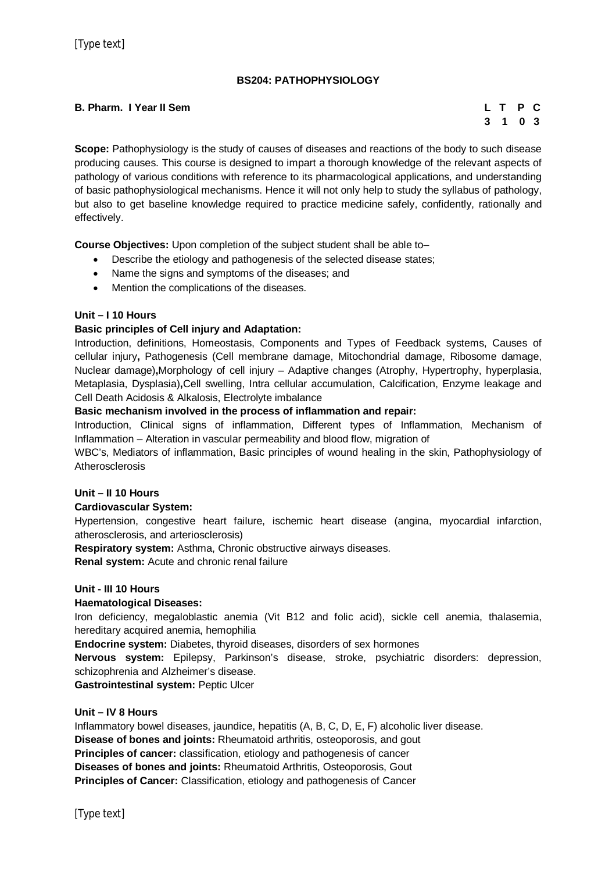## **BS204: PATHOPHYSIOLOGY**

## **B. Pharm. I Year II Sem L T P C**

# **3 1 0 3**

**Scope:** Pathophysiology is the study of causes of diseases and reactions of the body to such disease producing causes. This course is designed to impart a thorough knowledge of the relevant aspects of pathology of various conditions with reference to its pharmacological applications, and understanding of basic pathophysiological mechanisms. Hence it will not only help to study the syllabus of pathology, but also to get baseline knowledge required to practice medicine safely, confidently, rationally and effectively.

**Course Objectives:** Upon completion of the subject student shall be able to–

- Describe the etiology and pathogenesis of the selected disease states;
- Name the signs and symptoms of the diseases; and
- Mention the complications of the diseases.

## **Unit – I 10 Hours**

#### **Basic principles of Cell injury and Adaptation:**

Introduction, definitions, Homeostasis, Components and Types of Feedback systems, Causes of cellular injury**,** Pathogenesis (Cell membrane damage, Mitochondrial damage, Ribosome damage, Nuclear damage)**,**Morphology of cell injury – Adaptive changes (Atrophy, Hypertrophy, hyperplasia, Metaplasia, Dysplasia)**,**Cell swelling, Intra cellular accumulation, Calcification, Enzyme leakage and Cell Death Acidosis & Alkalosis, Electrolyte imbalance

#### **Basic mechanism involved in the process of inflammation and repair:**

Introduction, Clinical signs of inflammation, Different types of Inflammation, Mechanism of Inflammation – Alteration in vascular permeability and blood flow, migration of

WBC's, Mediators of inflammation, Basic principles of wound healing in the skin, Pathophysiology of Atherosclerosis

## **Unit – II 10 Hours**

#### **Cardiovascular System:**

Hypertension, congestive heart failure, ischemic heart disease (angina, myocardial infarction, atherosclerosis, and arteriosclerosis)

**Respiratory system:** Asthma, Chronic obstructive airways diseases.

**Renal system:** Acute and chronic renal failure

#### **Unit - III 10 Hours**

#### **Haematological Diseases:**

Iron deficiency, megaloblastic anemia (Vit B12 and folic acid), sickle cell anemia, thalasemia, hereditary acquired anemia, hemophilia

**Endocrine system:** Diabetes, thyroid diseases, disorders of sex hormones

**Nervous system:** Epilepsy, Parkinson's disease, stroke, psychiatric disorders: depression, schizophrenia and Alzheimer's disease.

**Gastrointestinal system:** Peptic Ulcer

#### **Unit – IV 8 Hours**

Inflammatory bowel diseases, jaundice, hepatitis (A, B, C, D, E, F) alcoholic liver disease. **Disease of bones and joints:** Rheumatoid arthritis, osteoporosis, and gout **Principles of cancer:** classification, etiology and pathogenesis of cancer **Diseases of bones and joints:** Rheumatoid Arthritis, Osteoporosis, Gout **Principles of Cancer:** Classification, etiology and pathogenesis of Cancer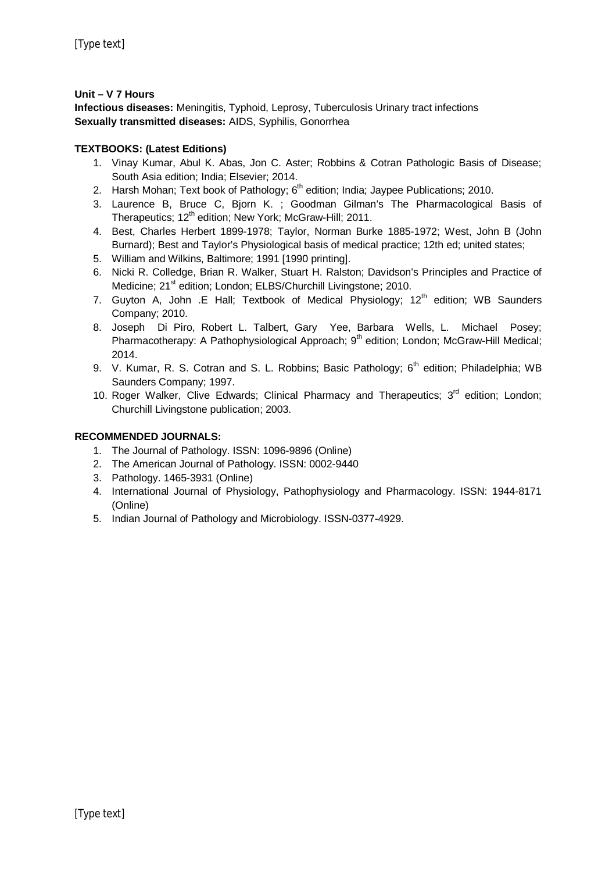## **Unit – V 7 Hours**

**Infectious diseases:** Meningitis, Typhoid, Leprosy, Tuberculosis Urinary tract infections **Sexually transmitted diseases:** AIDS, Syphilis, Gonorrhea

## **TEXTBOOKS: (Latest Editions)**

- 1. Vinay Kumar, Abul K. Abas, Jon C. Aster; Robbins & Cotran Pathologic Basis of Disease; South Asia edition; India; Elsevier; 2014.
- 2. Harsh Mohan; Text book of Pathology; 6<sup>th</sup> edition; India; Jaypee Publications; 2010.
- 3. Laurence B, Bruce C, Bjorn K. ; Goodman Gilman's The Pharmacological Basis of Therapeutics; 12<sup>th</sup> edition; New York; McGraw-Hill; 2011.
- 4. Best, Charles Herbert 1899-1978; Taylor, Norman Burke 1885-1972; West, John B (John Burnard); Best and Taylor's Physiological basis of medical practice; 12th ed; united states;
- 5. William and Wilkins, Baltimore; 1991 [1990 printing].
- 6. Nicki R. Colledge, Brian R. Walker, Stuart H. Ralston; Davidson's Principles and Practice of Medicine; 21<sup>st</sup> edition; London; ELBS/Churchill Livingstone; 2010.
- 7. Guyton A, John .E Hall; Textbook of Medical Physiology;  $12<sup>th</sup>$  edition; WB Saunders Company; 2010.
- 8. Joseph Di Piro, Robert L. Talbert, Gary Yee, Barbara Wells, L. Michael Posey; Pharmacotherapy: A Pathophysiological Approach; 9<sup>th</sup> edition; London; McGraw-Hill Medical; 2014.
- 9. V. Kumar, R. S. Cotran and S. L. Robbins; Basic Pathology;  $6<sup>th</sup>$  edition; Philadelphia; WB Saunders Company; 1997.
- 10. Roger Walker, Clive Edwards; Clinical Pharmacy and Therapeutics; 3<sup>rd</sup> edition; London; Churchill Livingstone publication; 2003.

## **RECOMMENDED JOURNALS:**

- 1. The Journal of Pathology. ISSN: 1096-9896 (Online)
- 2. The American Journal of Pathology. ISSN: 0002-9440
- 3. Pathology. 1465-3931 (Online)
- 4. International Journal of Physiology, Pathophysiology and Pharmacology. ISSN: 1944-8171 (Online)
- 5. Indian Journal of Pathology and Microbiology. ISSN-0377-4929.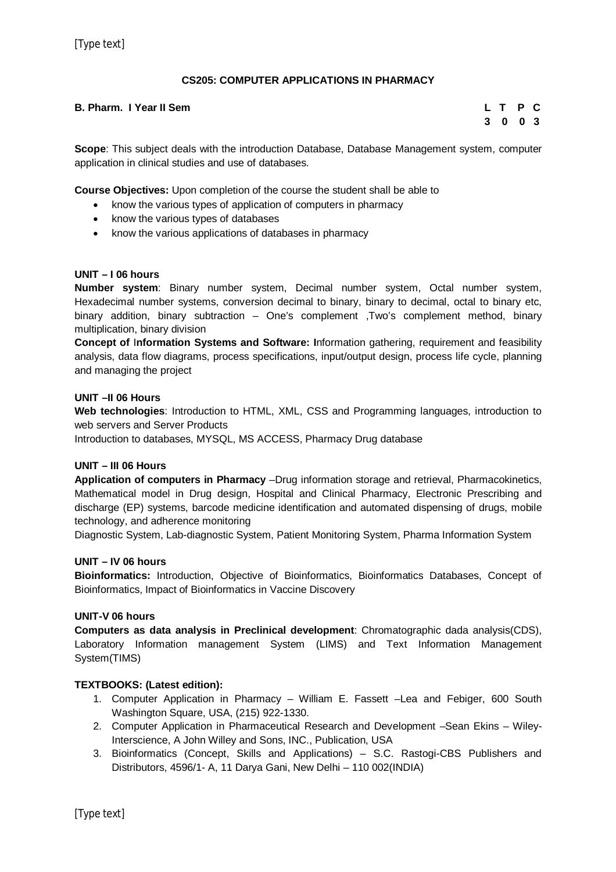## **CS205: COMPUTER APPLICATIONS IN PHARMACY**

## **B. Pharm. I Year II Sem L T P C**

# **3 0 0 3**

**Scope**: This subject deals with the introduction Database, Database Management system, computer application in clinical studies and use of databases.

**Course Objectives:** Upon completion of the course the student shall be able to

- know the various types of application of computers in pharmacy
- know the various types of databases
- know the various applications of databases in pharmacy

## **UNIT – I 06 hours**

**Number system**: Binary number system, Decimal number system, Octal number system, Hexadecimal number systems, conversion decimal to binary, binary to decimal, octal to binary etc, binary addition, binary subtraction – One's complement ,Two's complement method, binary multiplication, binary division

**Concept of** I**nformation Systems and Software: I**nformation gathering, requirement and feasibility analysis, data flow diagrams, process specifications, input/output design, process life cycle, planning and managing the project

## **UNIT –II 06 Hours**

**Web technologies**: Introduction to HTML, XML, CSS and Programming languages, introduction to web servers and Server Products

Introduction to databases, MYSQL, MS ACCESS, Pharmacy Drug database

## **UNIT – III 06 Hours**

**Application of computers in Pharmacy** –Drug information storage and retrieval, Pharmacokinetics, Mathematical model in Drug design, Hospital and Clinical Pharmacy, Electronic Prescribing and discharge (EP) systems, barcode medicine identification and automated dispensing of drugs, mobile technology, and adherence monitoring

Diagnostic System, Lab-diagnostic System, Patient Monitoring System, Pharma Information System

## **UNIT – IV 06 hours**

**Bioinformatics:** Introduction, Objective of Bioinformatics, Bioinformatics Databases, Concept of Bioinformatics, Impact of Bioinformatics in Vaccine Discovery

## **UNIT-V 06 hours**

**Computers as data analysis in Preclinical development**: Chromatographic dada analysis(CDS), Laboratory Information management System (LIMS) and Text Information Management System(TIMS)

## **TEXTBOOKS: (Latest edition):**

- 1. Computer Application in Pharmacy William E. Fassett –Lea and Febiger, 600 South Washington Square, USA, (215) 922-1330.
- 2. Computer Application in Pharmaceutical Research and Development –Sean Ekins Wiley-Interscience, A John Willey and Sons, INC., Publication, USA
- 3. Bioinformatics (Concept, Skills and Applications) S.C. Rastogi-CBS Publishers and Distributors, 4596/1- A, 11 Darya Gani, New Delhi – 110 002(INDIA)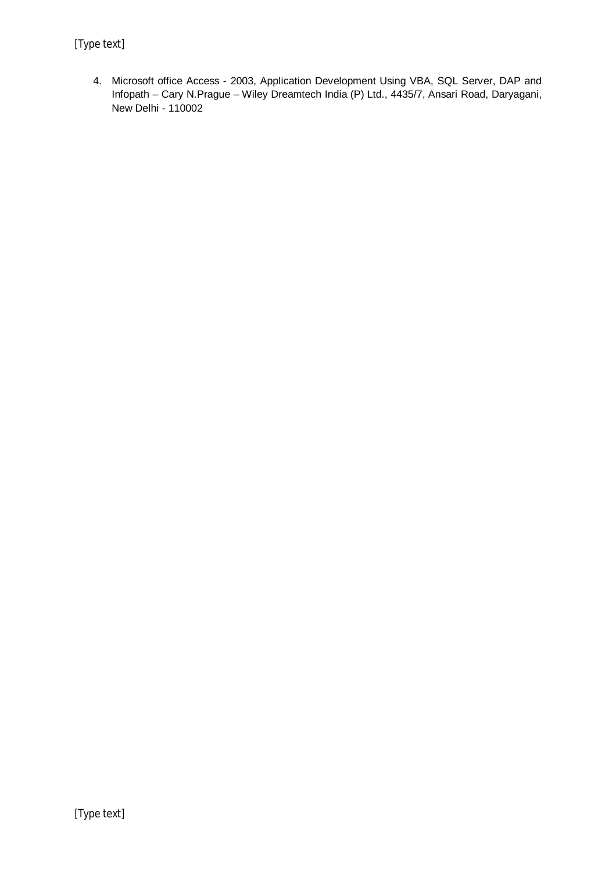4. Microsoft office Access - 2003, Application Development Using VBA, SQL Server, DAP and Infopath – Cary N.Prague – Wiley Dreamtech India (P) Ltd., 4435/7, Ansari Road, Daryagani, New Delhi - 110002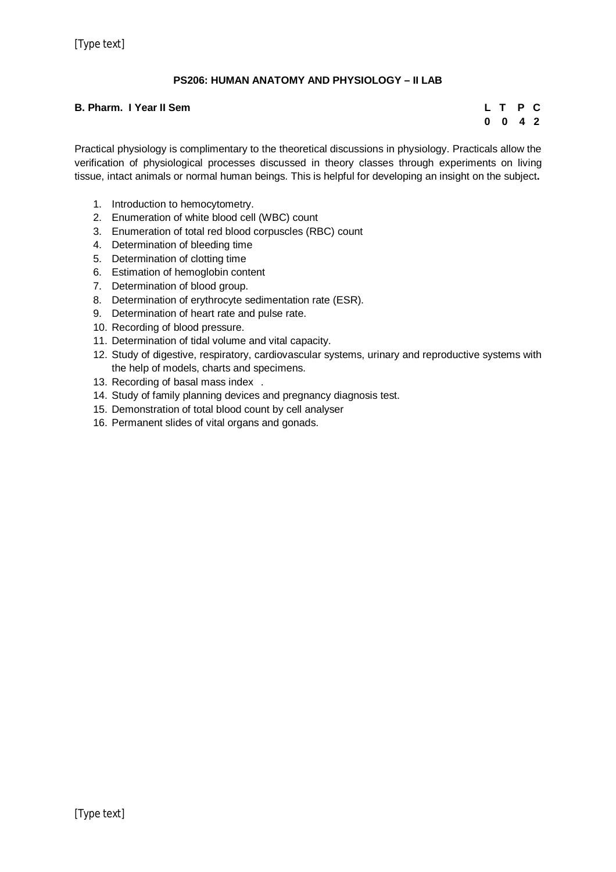## **PS206: HUMAN ANATOMY AND PHYSIOLOGY – II LAB**

### **B. Pharm. I Year II Sem**

|   | L T          | P C |  |
|---|--------------|-----|--|
| 0 | $\mathbf{0}$ | 42  |  |

Practical physiology is complimentary to the theoretical discussions in physiology. Practicals allow the verification of physiological processes discussed in theory classes through experiments on living tissue, intact animals or normal human beings. This is helpful for developing an insight on the subject**.**

- 1. Introduction to hemocytometry.
- 2. Enumeration of white blood cell (WBC) count
- 3. Enumeration of total red blood corpuscles (RBC) count
- 4. Determination of bleeding time
- 5. Determination of clotting time
- 6. Estimation of hemoglobin content
- 7. Determination of blood group.
- 8. Determination of erythrocyte sedimentation rate (ESR).
- 9. Determination of heart rate and pulse rate.
- 10. Recording of blood pressure.
- 11. Determination of tidal volume and vital capacity.
- 12. Study of digestive, respiratory, cardiovascular systems, urinary and reproductive systems with the help of models, charts and specimens.
- 13. Recording of basal mass index .
- 14. Study of family planning devices and pregnancy diagnosis test.
- 15. Demonstration of total blood count by cell analyser
- 16. Permanent slides of vital organs and gonads.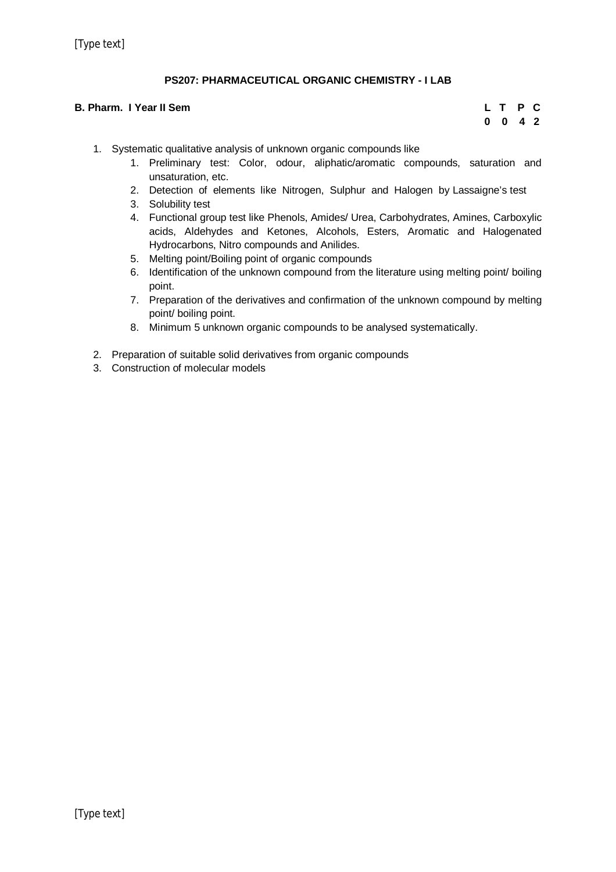## **PS207: PHARMACEUTICAL ORGANIC CHEMISTRY - I LAB**

#### **B. Pharm. I Year II Sem**

|   | L T P C      |    |  |
|---|--------------|----|--|
| 0 | $\mathbf{0}$ | 42 |  |

- 1. Systematic qualitative analysis of unknown organic compounds like
	- 1. Preliminary test: Color, odour, aliphatic/aromatic compounds, saturation and unsaturation, etc.
	- 2. Detection of elements like Nitrogen, Sulphur and Halogen by Lassaigne's test
	- 3. Solubility test
	- 4. Functional group test like Phenols, Amides/ Urea, Carbohydrates, Amines, Carboxylic acids, Aldehydes and Ketones, Alcohols, Esters, Aromatic and Halogenated Hydrocarbons, Nitro compounds and Anilides.
	- 5. Melting point/Boiling point of organic compounds
	- 6. Identification of the unknown compound from the literature using melting point/ boiling point.
	- 7. Preparation of the derivatives and confirmation of the unknown compound by melting point/ boiling point.
	- 8. Minimum 5 unknown organic compounds to be analysed systematically.
- 2. Preparation of suitable solid derivatives from organic compounds
- 3. Construction of molecular models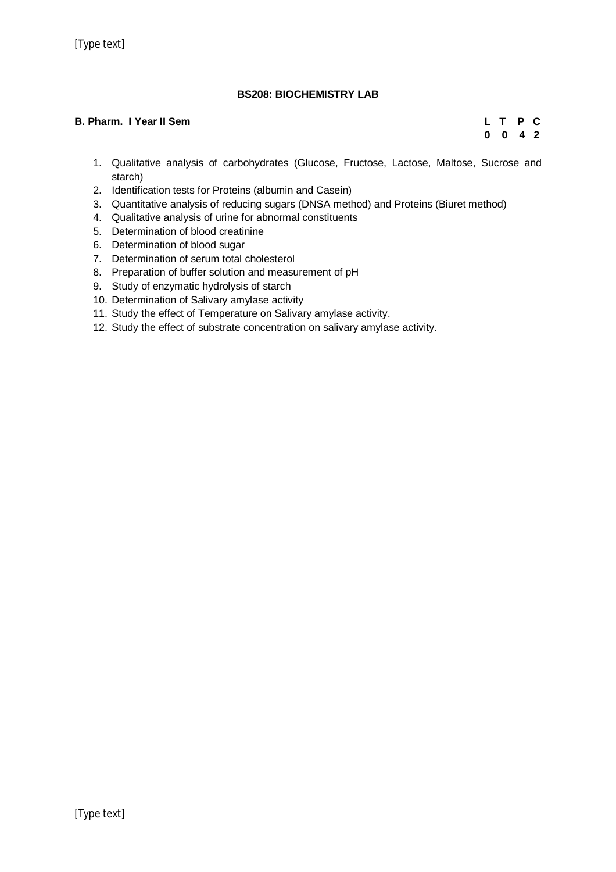## **BS208: BIOCHEMISTRY LAB**

## **B. Pharm. I Year II Sem L T P C**

**0 0 4 2**

- 1. Qualitative analysis of carbohydrates (Glucose, Fructose, Lactose, Maltose, Sucrose and starch)
- 2. Identification tests for Proteins (albumin and Casein)
- 3. Quantitative analysis of reducing sugars (DNSA method) and Proteins (Biuret method)
- 4. Qualitative analysis of urine for abnormal constituents
- 5. Determination of blood creatinine
- 6. Determination of blood sugar
- 7. Determination of serum total cholesterol
- 8. Preparation of buffer solution and measurement of pH
- 9. Study of enzymatic hydrolysis of starch
- 10. Determination of Salivary amylase activity
- 11. Study the effect of Temperature on Salivary amylase activity.
- 12. Study the effect of substrate concentration on salivary amylase activity.